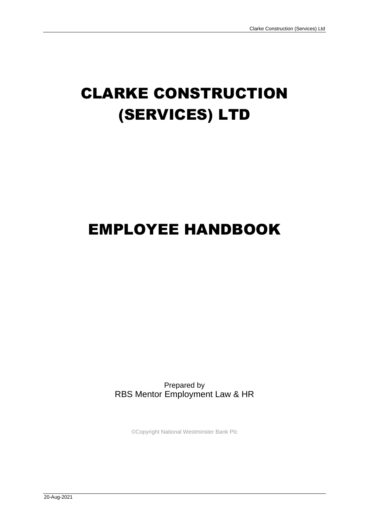# CLARKE CONSTRUCTION (SERVICES) LTD

# EMPLOYEE HANDBOOK

Prepared by RBS Mentor Employment Law & HR

©Copyright National Westminster Bank Plc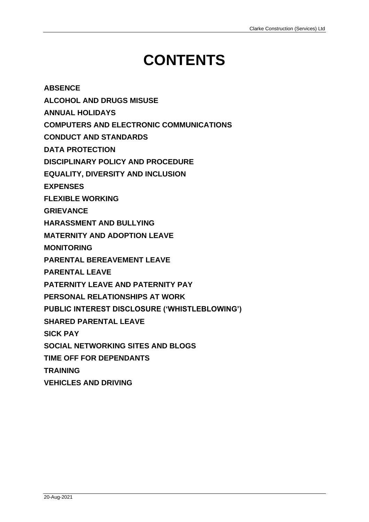# **CONTENTS**

**[ABSENCE](#page-4-0)**

**[ALCOHOL AND DRUGS MISUSE](#page-8-0)**

**[ANNUAL HOLIDAYS](#page-10-0)**

**[COMPUTERS AND ELECTRONIC COMMUNICATIONS](#page-12-0)**

**[CONDUCT AND STANDARDS](#page-16-0)**

**[DATA PROTECTION](#page-22-0)**

**[DISCIPLINARY POLICY AND PROCEDURE](#page-28-0)**

**[EQUALITY, DIVERSITY AND INCLUSION](#page-32-0)**

**[EXPENSES](#page-36-0)**

**[FLEXIBLE WORKING](#page-38-0)**

**[GRIEVANCE](#page-40-0)**

**[HARASSMENT AND BULLYING](#page-42-0)**

**[MATERNITY AND ADOPTION LEAVE](#page-44-0)**

**[MONITORING](#page-50-0)**

**[PARENTAL BEREAVEMENT LEAVE](#page-52-0)**

**[PARENTAL LEAVE](#page-56-0)**

**[PATERNITY LEAVE AND PATERNITY PAY](#page-58-0)**

**[PERSONAL RELATIONSHIPS AT WORK](#page-62-0)**

**[PUBLIC INTEREST DISCLOSURE \('WHISTLEBLOWING'\)](#page-64-0)**

**[SHARED PARENTAL LEAVE](#page-66-0)**

**[SICK PAY](#page-72-0)**

**[SOCIAL NETWORKING SITES AND BLOGS](#page-74-0)**

**[TIME OFF FOR DEPENDANTS](#page-78-0)**

**[TRAINING](#page-80-0)**

**[VEHICLES AND DRIVING](#page-82-0)**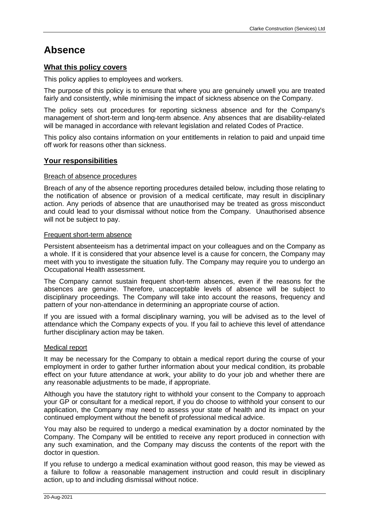# <span id="page-4-0"></span>**Absence**

# **What this policy covers**

This policy applies to employees and workers.

The purpose of this policy is to ensure that where you are genuinely unwell you are treated fairly and consistently, while minimising the impact of sickness absence on the Company.

The policy sets out procedures for reporting sickness absence and for the Company's management of short-term and long-term absence. Any absences that are disability-related will be managed in accordance with relevant legislation and related Codes of Practice.

This policy also contains information on your entitlements in relation to paid and unpaid time off work for reasons other than sickness.

# **Your responsibilities**

# Breach of absence procedures

Breach of any of the absence reporting procedures detailed below, including those relating to the notification of absence or provision of a medical certificate, may result in disciplinary action. Any periods of absence that are unauthorised may be treated as gross misconduct and could lead to your dismissal without notice from the Company. Unauthorised absence will not be subject to pay.

## Frequent short-term absence

Persistent absenteeism has a detrimental impact on your colleagues and on the Company as a whole. If it is considered that your absence level is a cause for concern, the Company may meet with you to investigate the situation fully. The Company may require you to undergo an Occupational Health assessment.

The Company cannot sustain frequent short-term absences, even if the reasons for the absences are genuine. Therefore, unacceptable levels of absence will be subject to disciplinary proceedings. The Company will take into account the reasons, frequency and pattern of your non-attendance in determining an appropriate course of action.

If you are issued with a formal disciplinary warning, you will be advised as to the level of attendance which the Company expects of you. If you fail to achieve this level of attendance further disciplinary action may be taken.

# Medical report

It may be necessary for the Company to obtain a medical report during the course of your employment in order to gather further information about your medical condition, its probable effect on your future attendance at work, your ability to do your job and whether there are any reasonable adjustments to be made, if appropriate.

Although you have the statutory right to withhold your consent to the Company to approach your GP or consultant for a medical report, if you do choose to withhold your consent to our application, the Company may need to assess your state of health and its impact on your continued employment without the benefit of professional medical advice.

You may also be required to undergo a medical examination by a doctor nominated by the Company. The Company will be entitled to receive any report produced in connection with any such examination, and the Company may discuss the contents of the report with the doctor in question.

If you refuse to undergo a medical examination without good reason, this may be viewed as a failure to follow a reasonable management instruction and could result in disciplinary action, up to and including dismissal without notice.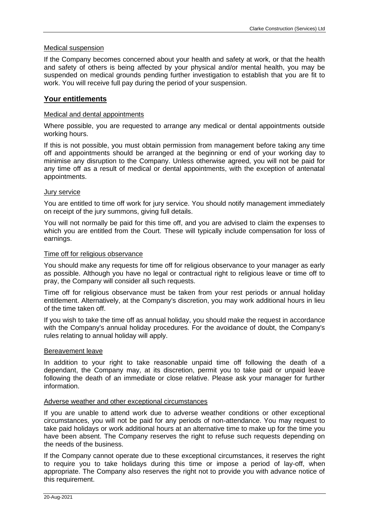## Medical suspension

If the Company becomes concerned about your health and safety at work, or that the health and safety of others is being affected by your physical and/or mental health, you may be suspended on medical grounds pending further investigation to establish that you are fit to work. You will receive full pay during the period of your suspension.

# **Your entitlements**

## Medical and dental appointments

Where possible, you are requested to arrange any medical or dental appointments outside working hours.

If this is not possible, you must obtain permission from management before taking any time off and appointments should be arranged at the beginning or end of your working day to minimise any disruption to the Company. Unless otherwise agreed, you will not be paid for any time off as a result of medical or dental appointments, with the exception of antenatal appointments.

## Jury service

You are entitled to time off work for jury service. You should notify management immediately on receipt of the jury summons, giving full details.

You will not normally be paid for this time off, and you are advised to claim the expenses to which you are entitled from the Court. These will typically include compensation for loss of earnings.

#### Time off for religious observance

You should make any requests for time off for religious observance to your manager as early as possible. Although you have no legal or contractual right to religious leave or time off to pray, the Company will consider all such requests.

Time off for religious observance must be taken from your rest periods or annual holiday entitlement. Alternatively, at the Company's discretion, you may work additional hours in lieu of the time taken off.

If you wish to take the time off as annual holiday, you should make the request in accordance with the Company's annual holiday procedures. For the avoidance of doubt, the Company's rules relating to annual holiday will apply.

#### Bereavement leave

In addition to your right to take reasonable unpaid time off following the death of a dependant, the Company may, at its discretion, permit you to take paid or unpaid leave following the death of an immediate or close relative. Please ask your manager for further information.

#### Adverse weather and other exceptional circumstances

If you are unable to attend work due to adverse weather conditions or other exceptional circumstances, you will not be paid for any periods of non-attendance. You may request to take paid holidays or work additional hours at an alternative time to make up for the time you have been absent. The Company reserves the right to refuse such requests depending on the needs of the business.

If the Company cannot operate due to these exceptional circumstances, it reserves the right to require you to take holidays during this time or impose a period of lay-off, when appropriate. The Company also reserves the right not to provide you with advance notice of this requirement.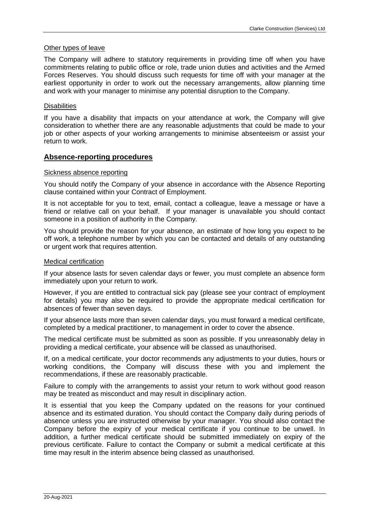## Other types of leave

The Company will adhere to statutory requirements in providing time off when you have commitments relating to public office or role, trade union duties and activities and the Armed Forces Reserves. You should discuss such requests for time off with your manager at the earliest opportunity in order to work out the necessary arrangements, allow planning time and work with your manager to minimise any potential disruption to the Company.

## **Disabilities**

If you have a disability that impacts on your attendance at work, the Company will give consideration to whether there are any reasonable adjustments that could be made to your job or other aspects of your working arrangements to minimise absenteeism or assist your return to work.

## **Absence-reporting procedures**

## Sickness absence reporting

You should notify the Company of your absence in accordance with the Absence Reporting clause contained within your Contract of Employment.

It is not acceptable for you to text, email, contact a colleague, leave a message or have a friend or relative call on your behalf. If your manager is unavailable you should contact someone in a position of authority in the Company.

You should provide the reason for your absence, an estimate of how long you expect to be off work, a telephone number by which you can be contacted and details of any outstanding or urgent work that requires attention.

#### Medical certification

If your absence lasts for seven calendar days or fewer, you must complete an absence form immediately upon your return to work.

However, if you are entitled to contractual sick pay (please see your contract of employment for details) you may also be required to provide the appropriate medical certification for absences of fewer than seven days.

If your absence lasts more than seven calendar days, you must forward a medical certificate, completed by a medical practitioner, to management in order to cover the absence.

The medical certificate must be submitted as soon as possible. If you unreasonably delay in providing a medical certificate, your absence will be classed as unauthorised.

If, on a medical certificate, your doctor recommends any adjustments to your duties, hours or working conditions, the Company will discuss these with you and implement the recommendations, if these are reasonably practicable.

Failure to comply with the arrangements to assist your return to work without good reason may be treated as misconduct and may result in disciplinary action.

It is essential that you keep the Company updated on the reasons for your continued absence and its estimated duration. You should contact the Company daily during periods of absence unless you are instructed otherwise by your manager. You should also contact the Company before the expiry of your medical certificate if you continue to be unwell. In addition, a further medical certificate should be submitted immediately on expiry of the previous certificate. Failure to contact the Company or submit a medical certificate at this time may result in the interim absence being classed as unauthorised.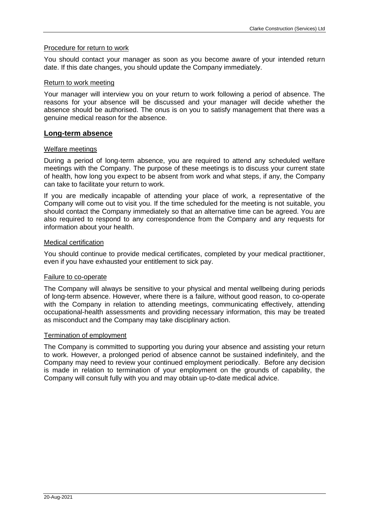## Procedure for return to work

You should contact your manager as soon as you become aware of your intended return date. If this date changes, you should update the Company immediately.

#### Return to work meeting

Your manager will interview you on your return to work following a period of absence. The reasons for your absence will be discussed and your manager will decide whether the absence should be authorised. The onus is on you to satisfy management that there was a genuine medical reason for the absence.

## **Long-term absence**

## Welfare meetings

During a period of long-term absence, you are required to attend any scheduled welfare meetings with the Company. The purpose of these meetings is to discuss your current state of health, how long you expect to be absent from work and what steps, if any, the Company can take to facilitate your return to work.

If you are medically incapable of attending your place of work, a representative of the Company will come out to visit you. If the time scheduled for the meeting is not suitable, you should contact the Company immediately so that an alternative time can be agreed. You are also required to respond to any correspondence from the Company and any requests for information about your health.

## Medical certification

You should continue to provide medical certificates, completed by your medical practitioner, even if you have exhausted your entitlement to sick pay.

#### Failure to co-operate

The Company will always be sensitive to your physical and mental wellbeing during periods of long-term absence. However, where there is a failure, without good reason, to co-operate with the Company in relation to attending meetings, communicating effectively, attending occupational-health assessments and providing necessary information, this may be treated as misconduct and the Company may take disciplinary action.

#### Termination of employment

The Company is committed to supporting you during your absence and assisting your return to work. However, a prolonged period of absence cannot be sustained indefinitely, and the Company may need to review your continued employment periodically. Before any decision is made in relation to termination of your employment on the grounds of capability, the Company will consult fully with you and may obtain up-to-date medical advice.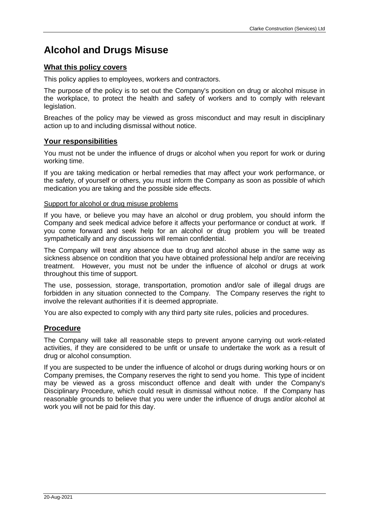# <span id="page-8-0"></span>**Alcohol and Drugs Misuse**

# **What this policy covers**

This policy applies to employees, workers and contractors.

The purpose of the policy is to set out the Company's position on drug or alcohol misuse in the workplace, to protect the health and safety of workers and to comply with relevant legislation.

Breaches of the policy may be viewed as gross misconduct and may result in disciplinary action up to and including dismissal without notice.

# **Your responsibilities**

You must not be under the influence of drugs or alcohol when you report for work or during working time.

If you are taking medication or herbal remedies that may affect your work performance, or the safety, of yourself or others, you must inform the Company as soon as possible of which medication you are taking and the possible side effects.

## Support for alcohol or drug misuse problems

If you have, or believe you may have an alcohol or drug problem, you should inform the Company and seek medical advice before it affects your performance or conduct at work. If you come forward and seek help for an alcohol or drug problem you will be treated sympathetically and any discussions will remain confidential.

The Company will treat any absence due to drug and alcohol abuse in the same way as sickness absence on condition that you have obtained professional help and/or are receiving treatment. However, you must not be under the influence of alcohol or drugs at work throughout this time of support.

The use, possession, storage, transportation, promotion and/or sale of illegal drugs are forbidden in any situation connected to the Company. The Company reserves the right to involve the relevant authorities if it is deemed appropriate.

You are also expected to comply with any third party site rules, policies and procedures.

# **Procedure**

The Company will take all reasonable steps to prevent anyone carrying out work-related activities, if they are considered to be unfit or unsafe to undertake the work as a result of drug or alcohol consumption.

If you are suspected to be under the influence of alcohol or drugs during working hours or on Company premises, the Company reserves the right to send you home. This type of incident may be viewed as a gross misconduct offence and dealt with under the Company's Disciplinary Procedure, which could result in dismissal without notice. If the Company has reasonable grounds to believe that you were under the influence of drugs and/or alcohol at work you will not be paid for this day.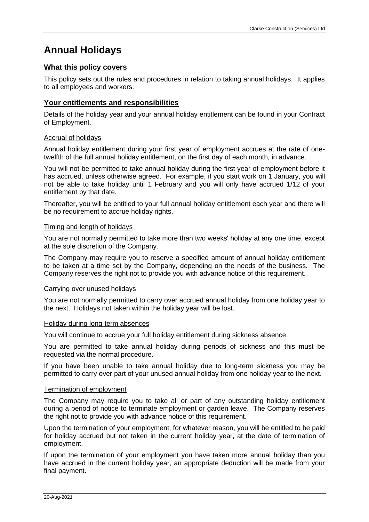# <span id="page-10-0"></span>**Annual Holidays**

# **What this policy covers**

This policy sets out the rules and procedures in relation to taking annual holidays. It applies to all employees and workers.

# **Your entitlements and responsibilities**

Details of the holiday year and your annual holiday entitlement can be found in your Contract of Employment.

# Accrual of holidays

Annual holiday entitlement during your first year of employment accrues at the rate of onetwelfth of the full annual holiday entitlement, on the first day of each month, in advance.

You will not be permitted to take annual holiday during the first year of employment before it has accrued, unless otherwise agreed. For example, if you start work on 1 January, you will not be able to take holiday until 1 February and you will only have accrued 1/12 of your entitlement by that date.

Thereafter, you will be entitled to your full annual holiday entitlement each year and there will be no requirement to accrue holiday rights.

## Timing and length of holidays

You are not normally permitted to take more than two weeks' holiday at any one time, except at the sole discretion of the Company.

The Company may require you to reserve a specified amount of annual holiday entitlement to be taken at a time set by the Company, depending on the needs of the business. The Company reserves the right not to provide you with advance notice of this requirement.

#### Carrying over unused holidays

You are not normally permitted to carry over accrued annual holiday from one holiday year to the next. Holidays not taken within the holiday year will be lost.

#### Holiday during long-term absences

You will continue to accrue your full holiday entitlement during sickness absence.

You are permitted to take annual holiday during periods of sickness and this must be requested via the normal procedure.

If you have been unable to take annual holiday due to long-term sickness you may be permitted to carry over part of your unused annual holiday from one holiday year to the next.

#### Termination of employment

The Company may require you to take all or part of any outstanding holiday entitlement during a period of notice to terminate employment or garden leave. The Company reserves the right not to provide you with advance notice of this requirement.

Upon the termination of your employment, for whatever reason, you will be entitled to be paid for holiday accrued but not taken in the current holiday year, at the date of termination of employment.

If upon the termination of your employment you have taken more annual holiday than you have accrued in the current holiday year, an appropriate deduction will be made from your final payment.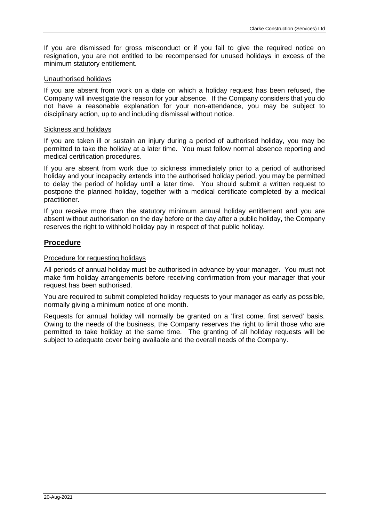If you are dismissed for gross misconduct or if you fail to give the required notice on resignation, you are not entitled to be recompensed for unused holidays in excess of the minimum statutory entitlement.

# Unauthorised holidays

If you are absent from work on a date on which a holiday request has been refused, the Company will investigate the reason for your absence. If the Company considers that you do not have a reasonable explanation for your non-attendance, you may be subject to disciplinary action, up to and including dismissal without notice.

# Sickness and holidays

If you are taken ill or sustain an injury during a period of authorised holiday, you may be permitted to take the holiday at a later time. You must follow normal absence reporting and medical certification procedures.

If you are absent from work due to sickness immediately prior to a period of authorised holiday and your incapacity extends into the authorised holiday period, you may be permitted to delay the period of holiday until a later time. You should submit a written request to postpone the planned holiday, together with a medical certificate completed by a medical practitioner.

If you receive more than the statutory minimum annual holiday entitlement and you are absent without authorisation on the day before or the day after a public holiday, the Company reserves the right to withhold holiday pay in respect of that public holiday.

# **Procedure**

# Procedure for requesting holidays

All periods of annual holiday must be authorised in advance by your manager. You must not make firm holiday arrangements before receiving confirmation from your manager that your request has been authorised.

You are required to submit completed holiday requests to your manager as early as possible, normally giving a minimum notice of one month.

Requests for annual holiday will normally be granted on a 'first come, first served' basis. Owing to the needs of the business, the Company reserves the right to limit those who are permitted to take holiday at the same time. The granting of all holiday requests will be subject to adequate cover being available and the overall needs of the Company.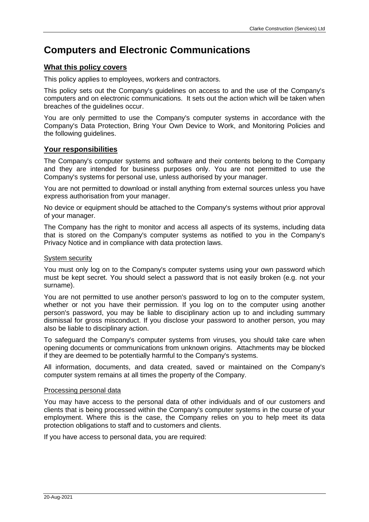# <span id="page-12-0"></span>**Computers and Electronic Communications**

# **What this policy covers**

This policy applies to employees, workers and contractors.

This policy sets out the Company's guidelines on access to and the use of the Company's computers and on electronic communications. It sets out the action which will be taken when breaches of the guidelines occur.

You are only permitted to use the Company's computer systems in accordance with the Company's Data Protection, Bring Your Own Device to Work, and Monitoring Policies and the following guidelines.

# **Your responsibilities**

The Company's computer systems and software and their contents belong to the Company and they are intended for business purposes only. You are not permitted to use the Company's systems for personal use, unless authorised by your manager.

You are not permitted to download or install anything from external sources unless you have express authorisation from your manager.

No device or equipment should be attached to the Company's systems without prior approval of your manager.

The Company has the right to monitor and access all aspects of its systems, including data that is stored on the Company's computer systems as notified to you in the Company's Privacy Notice and in compliance with data protection laws.

## System security

You must only log on to the Company's computer systems using your own password which must be kept secret. You should select a password that is not easily broken (e.g. not your surname).

You are not permitted to use another person's password to log on to the computer system, whether or not you have their permission. If you log on to the computer using another person's password, you may be liable to disciplinary action up to and including summary dismissal for gross misconduct. If you disclose your password to another person, you may also be liable to disciplinary action.

To safeguard the Company's computer systems from viruses, you should take care when opening documents or communications from unknown origins. Attachments may be blocked if they are deemed to be potentially harmful to the Company's systems.

All information, documents, and data created, saved or maintained on the Company's computer system remains at all times the property of the Company.

# Processing personal data

You may have access to the personal data of other individuals and of our customers and clients that is being processed within the Company's computer systems in the course of your employment. Where this is the case, the Company relies on you to help meet its data protection obligations to staff and to customers and clients.

If you have access to personal data, you are required: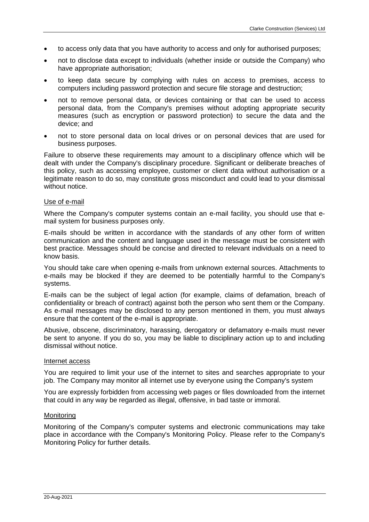- to access only data that you have authority to access and only for authorised purposes;
- not to disclose data except to individuals (whether inside or outside the Company) who have appropriate authorisation;
- to keep data secure by complying with rules on access to premises, access to computers including password protection and secure file storage and destruction;
- not to remove personal data, or devices containing or that can be used to access personal data, from the Company's premises without adopting appropriate security measures (such as encryption or password protection) to secure the data and the device; and
- not to store personal data on local drives or on personal devices that are used for business purposes.

Failure to observe these requirements may amount to a disciplinary offence which will be dealt with under the Company's disciplinary procedure. Significant or deliberate breaches of this policy, such as accessing employee, customer or client data without authorisation or a legitimate reason to do so, may constitute gross misconduct and could lead to your dismissal without notice.

#### Use of e-mail

Where the Company's computer systems contain an e-mail facility, you should use that email system for business purposes only.

E-mails should be written in accordance with the standards of any other form of written communication and the content and language used in the message must be consistent with best practice. Messages should be concise and directed to relevant individuals on a need to know basis.

You should take care when opening e-mails from unknown external sources. Attachments to e-mails may be blocked if they are deemed to be potentially harmful to the Company's systems.

E-mails can be the subject of legal action (for example, claims of defamation, breach of confidentiality or breach of contract) against both the person who sent them or the Company. As e-mail messages may be disclosed to any person mentioned in them, you must always ensure that the content of the e-mail is appropriate.

Abusive, obscene, discriminatory, harassing, derogatory or defamatory e-mails must never be sent to anyone. If you do so, you may be liable to disciplinary action up to and including dismissal without notice.

#### Internet access

You are required to limit your use of the internet to sites and searches appropriate to your job. The Company may monitor all internet use by everyone using the Company's system

You are expressly forbidden from accessing web pages or files downloaded from the internet that could in any way be regarded as illegal, offensive, in bad taste or immoral.

#### **Monitoring**

Monitoring of the Company's computer systems and electronic communications may take place in accordance with the Company's Monitoring Policy. Please refer to the Company's Monitoring Policy for further details.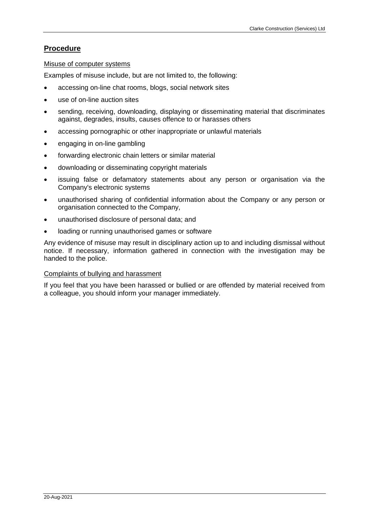# **Procedure**

## Misuse of computer systems

Examples of misuse include, but are not limited to, the following:

- accessing on-line chat rooms, blogs, social network sites
- use of on-line auction sites
- sending, receiving, downloading, displaying or disseminating material that discriminates against, degrades, insults, causes offence to or harasses others
- accessing pornographic or other inappropriate or unlawful materials
- engaging in on-line gambling
- forwarding electronic chain letters or similar material
- downloading or disseminating copyright materials
- issuing false or defamatory statements about any person or organisation via the Company's electronic systems
- unauthorised sharing of confidential information about the Company or any person or organisation connected to the Company,
- unauthorised disclosure of personal data; and
- loading or running unauthorised games or software

Any evidence of misuse may result in disciplinary action up to and including dismissal without notice. If necessary, information gathered in connection with the investigation may be handed to the police.

#### Complaints of bullying and harassment

If you feel that you have been harassed or bullied or are offended by material received from a colleague, you should inform your manager immediately.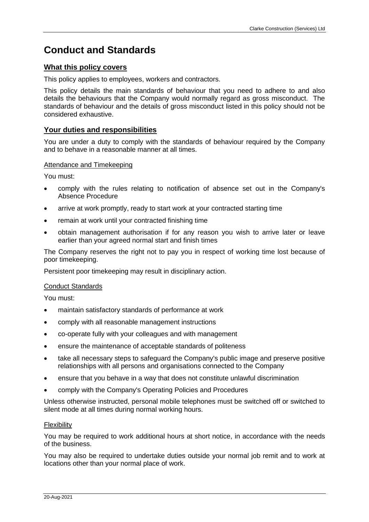# <span id="page-16-0"></span>**Conduct and Standards**

# **What this policy covers**

This policy applies to employees, workers and contractors.

This policy details the main standards of behaviour that you need to adhere to and also details the behaviours that the Company would normally regard as gross misconduct. The standards of behaviour and the details of gross misconduct listed in this policy should not be considered exhaustive.

# **Your duties and responsibilities**

You are under a duty to comply with the standards of behaviour required by the Company and to behave in a reasonable manner at all times.

## Attendance and Timekeeping

You must:

- comply with the rules relating to notification of absence set out in the Company's Absence Procedure
- arrive at work promptly, ready to start work at your contracted starting time
- remain at work until your contracted finishing time
- obtain management authorisation if for any reason you wish to arrive later or leave earlier than your agreed normal start and finish times

The Company reserves the right not to pay you in respect of working time lost because of poor timekeeping.

Persistent poor timekeeping may result in disciplinary action.

#### Conduct Standards

You must:

- maintain satisfactory standards of performance at work
- comply with all reasonable management instructions
- co-operate fully with your colleagues and with management
- ensure the maintenance of acceptable standards of politeness
- take all necessary steps to safeguard the Company's public image and preserve positive relationships with all persons and organisations connected to the Company
- ensure that you behave in a way that does not constitute unlawful discrimination
- comply with the Company's Operating Policies and Procedures

Unless otherwise instructed, personal mobile telephones must be switched off or switched to silent mode at all times during normal working hours.

#### **Flexibility**

You may be required to work additional hours at short notice, in accordance with the needs of the business.

You may also be required to undertake duties outside your normal job remit and to work at locations other than your normal place of work.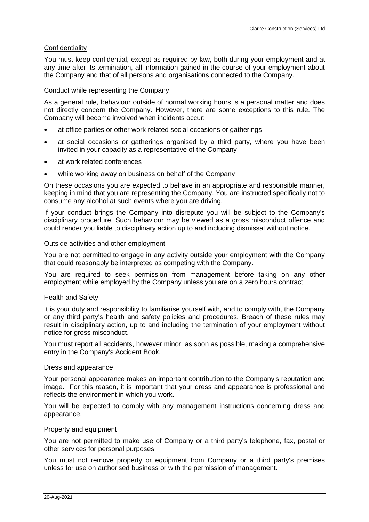# **Confidentiality**

You must keep confidential, except as required by law, both during your employment and at any time after its termination, all information gained in the course of your employment about the Company and that of all persons and organisations connected to the Company.

# Conduct while representing the Company

As a general rule, behaviour outside of normal working hours is a personal matter and does not directly concern the Company. However, there are some exceptions to this rule. The Company will become involved when incidents occur:

- at office parties or other work related social occasions or gatherings
- at social occasions or gatherings organised by a third party, where you have been invited in your capacity as a representative of the Company
- at work related conferences
- while working away on business on behalf of the Company

On these occasions you are expected to behave in an appropriate and responsible manner, keeping in mind that you are representing the Company. You are instructed specifically not to consume any alcohol at such events where you are driving.

If your conduct brings the Company into disrepute you will be subject to the Company's disciplinary procedure. Such behaviour may be viewed as a gross misconduct offence and could render you liable to disciplinary action up to and including dismissal without notice.

## Outside activities and other employment

You are not permitted to engage in any activity outside your employment with the Company that could reasonably be interpreted as competing with the Company.

You are required to seek permission from management before taking on any other employment while employed by the Company unless you are on a zero hours contract.

# Health and Safety

It is your duty and responsibility to familiarise yourself with, and to comply with, the Company or any third party's health and safety policies and procedures. Breach of these rules may result in disciplinary action, up to and including the termination of your employment without notice for gross misconduct.

You must report all accidents, however minor, as soon as possible, making a comprehensive entry in the Company's Accident Book.

# Dress and appearance

Your personal appearance makes an important contribution to the Company's reputation and image. For this reason, it is important that your dress and appearance is professional and reflects the environment in which you work.

You will be expected to comply with any management instructions concerning dress and appearance.

#### Property and equipment

You are not permitted to make use of Company or a third party's telephone, fax, postal or other services for personal purposes.

You must not remove property or equipment from Company or a third party's premises unless for use on authorised business or with the permission of management.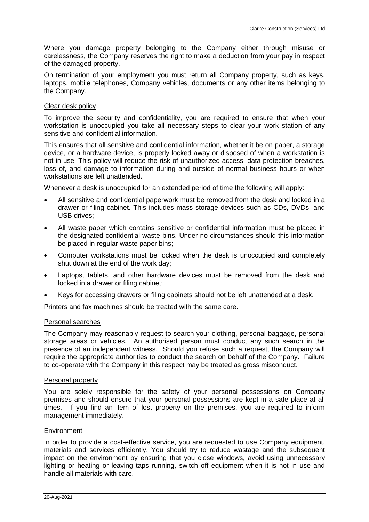Where you damage property belonging to the Company either through misuse or carelessness, the Company reserves the right to make a deduction from your pay in respect of the damaged property.

On termination of your employment you must return all Company property, such as keys, laptops, mobile telephones, Company vehicles, documents or any other items belonging to the Company.

# Clear desk policy

To improve the security and confidentiality, you are required to ensure that when your workstation is unoccupied you take all necessary steps to clear your work station of any sensitive and confidential information.

This ensures that all sensitive and confidential information, whether it be on paper, a storage device, or a hardware device, is properly locked away or disposed of when a workstation is not in use. This policy will reduce the risk of unauthorized access, data protection breaches, loss of, and damage to information during and outside of normal business hours or when workstations are left unattended.

Whenever a desk is unoccupied for an extended period of time the following will apply:

- All sensitive and confidential paperwork must be removed from the desk and locked in a drawer or filing cabinet. This includes mass storage devices such as CDs, DVDs, and USB drives;
- All waste paper which contains sensitive or confidential information must be placed in the designated confidential waste bins. Under no circumstances should this information be placed in regular waste paper bins;
- Computer workstations must be locked when the desk is unoccupied and completely shut down at the end of the work day;
- Laptops, tablets, and other hardware devices must be removed from the desk and locked in a drawer or filing cabinet;
- Keys for accessing drawers or filing cabinets should not be left unattended at a desk.

Printers and fax machines should be treated with the same care.

#### Personal searches

The Company may reasonably request to search your clothing, personal baggage, personal storage areas or vehicles. An authorised person must conduct any such search in the presence of an independent witness. Should you refuse such a request, the Company will require the appropriate authorities to conduct the search on behalf of the Company. Failure to co-operate with the Company in this respect may be treated as gross misconduct.

#### Personal property

You are solely responsible for the safety of your personal possessions on Company premises and should ensure that your personal possessions are kept in a safe place at all times. If you find an item of lost property on the premises, you are required to inform management immediately.

#### Environment

In order to provide a cost-effective service, you are requested to use Company equipment, materials and services efficiently. You should try to reduce wastage and the subsequent impact on the environment by ensuring that you close windows, avoid using unnecessary lighting or heating or leaving taps running, switch off equipment when it is not in use and handle all materials with care.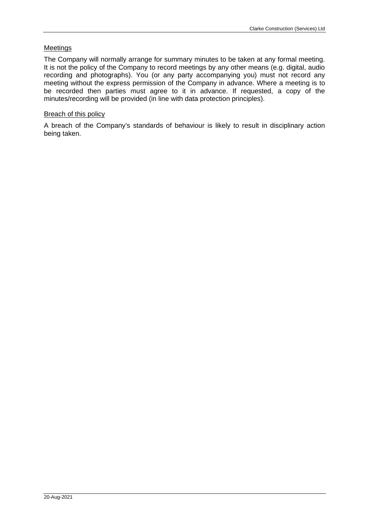# Meetings

The Company will normally arrange for summary minutes to be taken at any formal meeting. It is not the policy of the Company to record meetings by any other means (e.g. digital, audio recording and photographs). You (or any party accompanying you) must not record any meeting without the express permission of the Company in advance. Where a meeting is to be recorded then parties must agree to it in advance. If requested, a copy of the minutes/recording will be provided (in line with data protection principles).

# Breach of this policy

A breach of the Company's standards of behaviour is likely to result in disciplinary action being taken.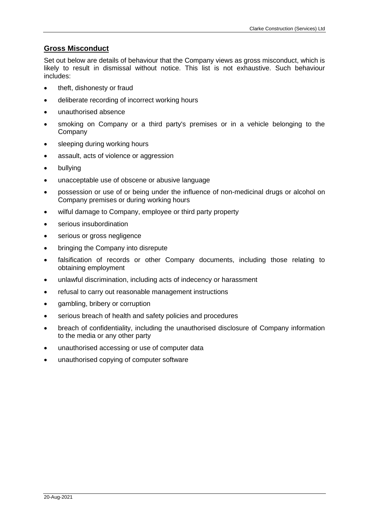# **Gross Misconduct**

Set out below are details of behaviour that the Company views as gross misconduct, which is likely to result in dismissal without notice. This list is not exhaustive. Such behaviour includes:

- theft, dishonesty or fraud
- deliberate recording of incorrect working hours
- unauthorised absence
- smoking on Company or a third party's premises or in a vehicle belonging to the Company
- sleeping during working hours
- assault, acts of violence or aggression
- bullying
- unacceptable use of obscene or abusive language
- possession or use of or being under the influence of non-medicinal drugs or alcohol on Company premises or during working hours
- wilful damage to Company, employee or third party property
- serious insubordination
- serious or gross negligence
- bringing the Company into disrepute
- falsification of records or other Company documents, including those relating to obtaining employment
- unlawful discrimination, including acts of indecency or harassment
- refusal to carry out reasonable management instructions
- gambling, bribery or corruption
- serious breach of health and safety policies and procedures
- breach of confidentiality, including the unauthorised disclosure of Company information to the media or any other party
- unauthorised accessing or use of computer data
- unauthorised copying of computer software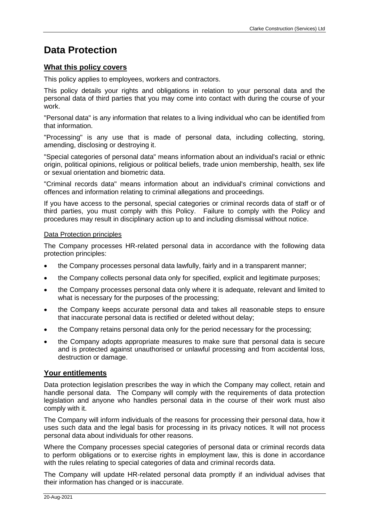# <span id="page-22-0"></span>**Data Protection**

# **What this policy covers**

This policy applies to employees, workers and contractors.

This policy details your rights and obligations in relation to your personal data and the personal data of third parties that you may come into contact with during the course of your work.

"Personal data" is any information that relates to a living individual who can be identified from that information.

"Processing" is any use that is made of personal data, including collecting, storing, amending, disclosing or destroying it.

"Special categories of personal data" means information about an individual's racial or ethnic origin, political opinions, religious or political beliefs, trade union membership, health, sex life or sexual orientation and biometric data.

"Criminal records data" means information about an individual's criminal convictions and offences and information relating to criminal allegations and proceedings.

If you have access to the personal, special categories or criminal records data of staff or of third parties, you must comply with this Policy. Failure to comply with the Policy and procedures may result in disciplinary action up to and including dismissal without notice.

## Data Protection principles

The Company processes HR-related personal data in accordance with the following data protection principles:

- the Company processes personal data lawfully, fairly and in a transparent manner;
- the Company collects personal data only for specified, explicit and legitimate purposes;
- the Company processes personal data only where it is adequate, relevant and limited to what is necessary for the purposes of the processing;
- the Company keeps accurate personal data and takes all reasonable steps to ensure that inaccurate personal data is rectified or deleted without delay;
- the Company retains personal data only for the period necessary for the processing;
- the Company adopts appropriate measures to make sure that personal data is secure and is protected against unauthorised or unlawful processing and from accidental loss, destruction or damage.

# **Your entitlements**

Data protection legislation prescribes the way in which the Company may collect, retain and handle personal data. The Company will comply with the requirements of data protection legislation and anyone who handles personal data in the course of their work must also comply with it.

The Company will inform individuals of the reasons for processing their personal data, how it uses such data and the legal basis for processing in its privacy notices. It will not process personal data about individuals for other reasons.

Where the Company processes special categories of personal data or criminal records data to perform obligations or to exercise rights in employment law, this is done in accordance with the rules relating to special categories of data and criminal records data.

The Company will update HR-related personal data promptly if an individual advises that their information has changed or is inaccurate.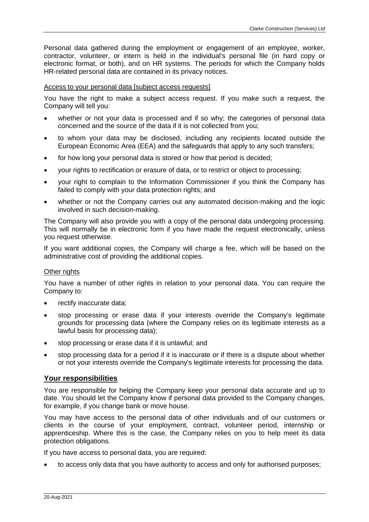Personal data gathered during the employment or engagement of an employee, worker, contractor, volunteer, or intern is held in the individual's personal file (in hard copy or electronic format, or both), and on HR systems. The periods for which the Company holds HR-related personal data are contained in its privacy notices.

#### Access to your personal data [subject access requests]

You have the right to make a subject access request. If you make such a request, the Company will tell you:

- whether or not your data is processed and if so why; the categories of personal data concerned and the source of the data if it is not collected from you;
- to whom your data may be disclosed, including any recipients located outside the European Economic Area (EEA) and the safeguards that apply to any such transfers;
- for how long your personal data is stored or how that period is decided;
- your rights to rectification or erasure of data, or to restrict or object to processing;
- your right to complain to the Information Commissioner if you think the Company has failed to comply with your data protection rights; and
- whether or not the Company carries out any automated decision-making and the logic involved in such decision-making.

The Company will also provide you with a copy of the personal data undergoing processing. This will normally be in electronic form if you have made the request electronically, unless you request otherwise.

If you want additional copies, the Company will charge a fee, which will be based on the administrative cost of providing the additional copies.

#### Other rights

You have a number of other rights in relation to your personal data. You can require the Company to:

- rectify inaccurate data;
- stop processing or erase data if your interests override the Company's legitimate grounds for processing data (where the Company relies on its legitimate interests as a lawful basis for processing data);
- stop processing or erase data if it is unlawful; and
- stop processing data for a period if it is inaccurate or if there is a dispute about whether or not your interests override the Company's legitimate interests for processing the data.

# **Your responsibilities**

You are responsible for helping the Company keep your personal data accurate and up to date. You should let the Company know if personal data provided to the Company changes, for example, if you change bank or move house.

You may have access to the personal data of other individuals and of our customers or clients in the course of your employment, contract, volunteer period, internship or apprenticeship. Where this is the case, the Company relies on you to help meet its data protection obligations.

If you have access to personal data, you are required:

• to access only data that you have authority to access and only for authorised purposes;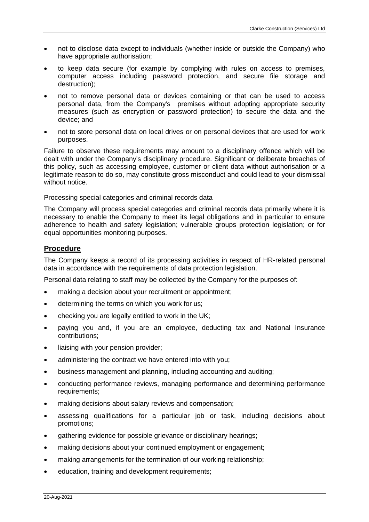- not to disclose data except to individuals (whether inside or outside the Company) who have appropriate authorisation;
- to keep data secure (for example by complying with rules on access to premises, computer access including password protection, and secure file storage and destruction);
- not to remove personal data or devices containing or that can be used to access personal data, from the Company's premises without adopting appropriate security measures (such as encryption or password protection) to secure the data and the device; and
- not to store personal data on local drives or on personal devices that are used for work purposes.

Failure to observe these requirements may amount to a disciplinary offence which will be dealt with under the Company's disciplinary procedure. Significant or deliberate breaches of this policy, such as accessing employee, customer or client data without authorisation or a legitimate reason to do so, may constitute gross misconduct and could lead to your dismissal without notice.

## Processing special categories and criminal records data

The Company will process special categories and criminal records data primarily where it is necessary to enable the Company to meet its legal obligations and in particular to ensure adherence to health and safety legislation; vulnerable groups protection legislation; or for equal opportunities monitoring purposes.

# **Procedure**

The Company keeps a record of its processing activities in respect of HR-related personal data in accordance with the requirements of data protection legislation.

Personal data relating to staff may be collected by the Company for the purposes of:

- making a decision about your recruitment or appointment;
- determining the terms on which you work for us;
- checking you are legally entitled to work in the UK;
- paying you and, if you are an employee, deducting tax and National Insurance contributions;
- liaising with your pension provider;
- administering the contract we have entered into with you;
- business management and planning, including accounting and auditing;
- conducting performance reviews, managing performance and determining performance requirements;
- making decisions about salary reviews and compensation;
- assessing qualifications for a particular job or task, including decisions about promotions;
- gathering evidence for possible grievance or disciplinary hearings;
- making decisions about your continued employment or engagement;
- making arrangements for the termination of our working relationship;
- education, training and development requirements;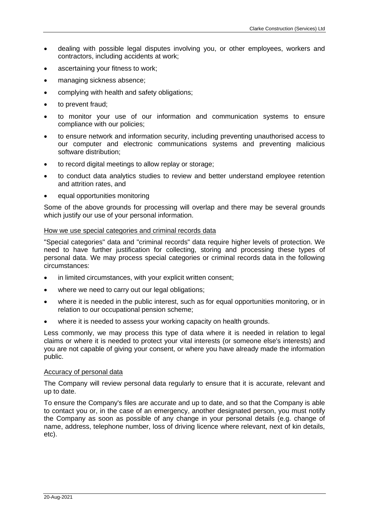- dealing with possible legal disputes involving you, or other employees, workers and contractors, including accidents at work;
- ascertaining your fitness to work;
- managing sickness absence;
- complying with health and safety obligations;
- to prevent fraud;
- to monitor your use of our information and communication systems to ensure compliance with our policies;
- to ensure network and information security, including preventing unauthorised access to our computer and electronic communications systems and preventing malicious software distribution;
- to record digital meetings to allow replay or storage;
- to conduct data analytics studies to review and better understand employee retention and attrition rates, and
- equal opportunities monitoring

Some of the above grounds for processing will overlap and there may be several grounds which justify our use of your personal information.

# How we use special categories and criminal records data

"Special categories" data and "criminal records" data require higher levels of protection. We need to have further justification for collecting, storing and processing these types of personal data. We may process special categories or criminal records data in the following circumstances:

- in limited circumstances, with your explicit written consent;
- where we need to carry out our legal obligations;
- where it is needed in the public interest, such as for equal opportunities monitoring, or in relation to our occupational pension scheme;
- where it is needed to assess your working capacity on health grounds.

Less commonly, we may process this type of data where it is needed in relation to legal claims or where it is needed to protect your vital interests (or someone else's interests) and you are not capable of giving your consent, or where you have already made the information public.

# Accuracy of personal data

The Company will review personal data regularly to ensure that it is accurate, relevant and up to date.

To ensure the Company's files are accurate and up to date, and so that the Company is able to contact you or, in the case of an emergency, another designated person, you must notify the Company as soon as possible of any change in your personal details (e.g. change of name, address, telephone number, loss of driving licence where relevant, next of kin details, etc).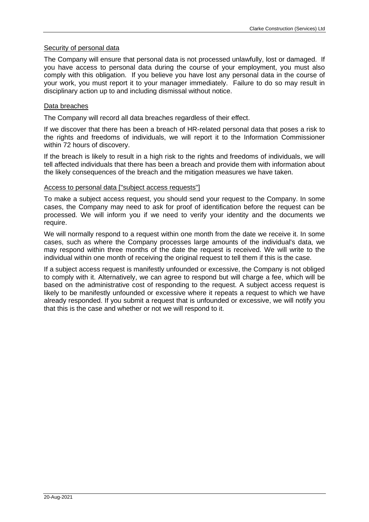# Security of personal data

The Company will ensure that personal data is not processed unlawfully, lost or damaged. If you have access to personal data during the course of your employment, you must also comply with this obligation. If you believe you have lost any personal data in the course of your work, you must report it to your manager immediately. Failure to do so may result in disciplinary action up to and including dismissal without notice.

## Data breaches

The Company will record all data breaches regardless of their effect.

If we discover that there has been a breach of HR-related personal data that poses a risk to the rights and freedoms of individuals, we will report it to the Information Commissioner within 72 hours of discovery.

If the breach is likely to result in a high risk to the rights and freedoms of individuals, we will tell affected individuals that there has been a breach and provide them with information about the likely consequences of the breach and the mitigation measures we have taken.

## Access to personal data ["subject access requests"]

To make a subject access request, you should send your request to the Company. In some cases, the Company may need to ask for proof of identification before the request can be processed. We will inform you if we need to verify your identity and the documents we require.

We will normally respond to a request within one month from the date we receive it. In some cases, such as where the Company processes large amounts of the individual's data, we may respond within three months of the date the request is received. We will write to the individual within one month of receiving the original request to tell them if this is the case.

If a subject access request is manifestly unfounded or excessive, the Company is not obliged to comply with it. Alternatively, we can agree to respond but will charge a fee, which will be based on the administrative cost of responding to the request. A subject access request is likely to be manifestly unfounded or excessive where it repeats a request to which we have already responded. If you submit a request that is unfounded or excessive, we will notify you that this is the case and whether or not we will respond to it.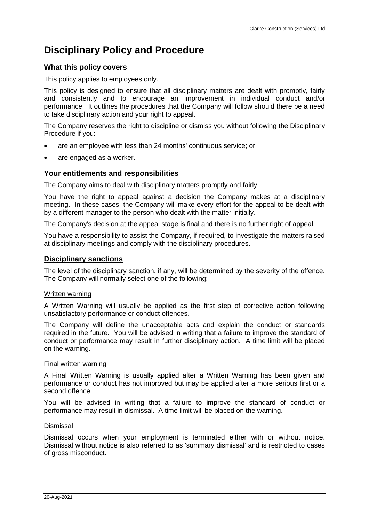# <span id="page-28-0"></span>**Disciplinary Policy and Procedure**

# **What this policy covers**

This policy applies to employees only.

This policy is designed to ensure that all disciplinary matters are dealt with promptly, fairly and consistently and to encourage an improvement in individual conduct and/or performance. It outlines the procedures that the Company will follow should there be a need to take disciplinary action and your right to appeal.

The Company reserves the right to discipline or dismiss you without following the Disciplinary Procedure if you:

- are an employee with less than 24 months' continuous service; or
- are engaged as a worker.

# **Your entitlements and responsibilities**

The Company aims to deal with disciplinary matters promptly and fairly.

You have the right to appeal against a decision the Company makes at a disciplinary meeting. In these cases, the Company will make every effort for the appeal to be dealt with by a different manager to the person who dealt with the matter initially.

The Company's decision at the appeal stage is final and there is no further right of appeal.

You have a responsibility to assist the Company, if required, to investigate the matters raised at disciplinary meetings and comply with the disciplinary procedures.

# **Disciplinary sanctions**

The level of the disciplinary sanction, if any, will be determined by the severity of the offence. The Company will normally select one of the following:

# Written warning

A Written Warning will usually be applied as the first step of corrective action following unsatisfactory performance or conduct offences.

The Company will define the unacceptable acts and explain the conduct or standards required in the future. You will be advised in writing that a failure to improve the standard of conduct or performance may result in further disciplinary action. A time limit will be placed on the warning.

# Final written warning

A Final Written Warning is usually applied after a Written Warning has been given and performance or conduct has not improved but may be applied after a more serious first or a second offence.

You will be advised in writing that a failure to improve the standard of conduct or performance may result in dismissal. A time limit will be placed on the warning.

# Dismissal

Dismissal occurs when your employment is terminated either with or without notice. Dismissal without notice is also referred to as 'summary dismissal' and is restricted to cases of gross misconduct.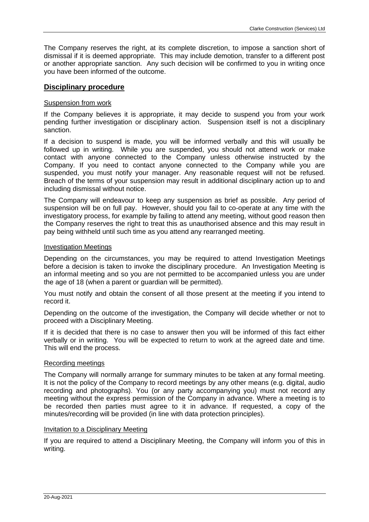The Company reserves the right, at its complete discretion, to impose a sanction short of dismissal if it is deemed appropriate. This may include demotion, transfer to a different post or another appropriate sanction. Any such decision will be confirmed to you in writing once you have been informed of the outcome.

# **Disciplinary procedure**

#### Suspension from work

If the Company believes it is appropriate, it may decide to suspend you from your work pending further investigation or disciplinary action. Suspension itself is not a disciplinary sanction.

If a decision to suspend is made, you will be informed verbally and this will usually be followed up in writing. While you are suspended, you should not attend work or make contact with anyone connected to the Company unless otherwise instructed by the Company. If you need to contact anyone connected to the Company while you are suspended, you must notify your manager. Any reasonable request will not be refused. Breach of the terms of your suspension may result in additional disciplinary action up to and including dismissal without notice.

The Company will endeavour to keep any suspension as brief as possible. Any period of suspension will be on full pay. However, should you fail to co-operate at any time with the investigatory process, for example by failing to attend any meeting, without good reason then the Company reserves the right to treat this as unauthorised absence and this may result in pay being withheld until such time as you attend any rearranged meeting.

#### Investigation Meetings

Depending on the circumstances, you may be required to attend Investigation Meetings before a decision is taken to invoke the disciplinary procedure. An Investigation Meeting is an informal meeting and so you are not permitted to be accompanied unless you are under the age of 18 (when a parent or guardian will be permitted).

You must notify and obtain the consent of all those present at the meeting if you intend to record it.

Depending on the outcome of the investigation, the Company will decide whether or not to proceed with a Disciplinary Meeting.

If it is decided that there is no case to answer then you will be informed of this fact either verbally or in writing. You will be expected to return to work at the agreed date and time. This will end the process.

#### Recording meetings

The Company will normally arrange for summary minutes to be taken at any formal meeting. It is not the policy of the Company to record meetings by any other means (e.g. digital, audio recording and photographs). You (or any party accompanying you) must not record any meeting without the express permission of the Company in advance. Where a meeting is to be recorded then parties must agree to it in advance. If requested, a copy of the minutes/recording will be provided (in line with data protection principles).

#### Invitation to a Disciplinary Meeting

If you are required to attend a Disciplinary Meeting, the Company will inform you of this in writing.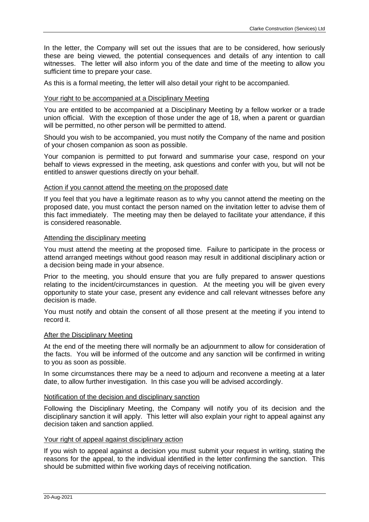In the letter, the Company will set out the issues that are to be considered, how seriously these are being viewed, the potential consequences and details of any intention to call witnesses. The letter will also inform you of the date and time of the meeting to allow you sufficient time to prepare your case.

As this is a formal meeting, the letter will also detail your right to be accompanied.

# Your right to be accompanied at a Disciplinary Meeting

You are entitled to be accompanied at a Disciplinary Meeting by a fellow worker or a trade union official. With the exception of those under the age of 18, when a parent or guardian will be permitted, no other person will be permitted to attend.

Should you wish to be accompanied, you must notify the Company of the name and position of your chosen companion as soon as possible.

Your companion is permitted to put forward and summarise your case, respond on your behalf to views expressed in the meeting, ask questions and confer with you, but will not be entitled to answer questions directly on your behalf.

## Action if you cannot attend the meeting on the proposed date

If you feel that you have a legitimate reason as to why you cannot attend the meeting on the proposed date, you must contact the person named on the invitation letter to advise them of this fact immediately. The meeting may then be delayed to facilitate your attendance, if this is considered reasonable.

## Attending the disciplinary meeting

You must attend the meeting at the proposed time. Failure to participate in the process or attend arranged meetings without good reason may result in additional disciplinary action or a decision being made in your absence.

Prior to the meeting, you should ensure that you are fully prepared to answer questions relating to the incident/circumstances in question. At the meeting you will be given every opportunity to state your case, present any evidence and call relevant witnesses before any decision is made.

You must notify and obtain the consent of all those present at the meeting if you intend to record it.

#### After the Disciplinary Meeting

At the end of the meeting there will normally be an adjournment to allow for consideration of the facts. You will be informed of the outcome and any sanction will be confirmed in writing to you as soon as possible.

In some circumstances there may be a need to adjourn and reconvene a meeting at a later date, to allow further investigation. In this case you will be advised accordingly.

#### Notification of the decision and disciplinary sanction

Following the Disciplinary Meeting, the Company will notify you of its decision and the disciplinary sanction it will apply. This letter will also explain your right to appeal against any decision taken and sanction applied.

#### Your right of appeal against disciplinary action

If you wish to appeal against a decision you must submit your request in writing, stating the reasons for the appeal, to the individual identified in the letter confirming the sanction. This should be submitted within five working days of receiving notification.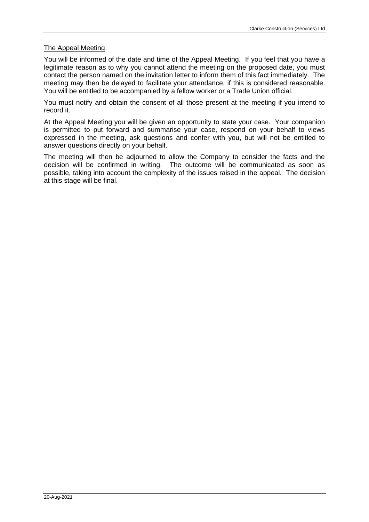# The Appeal Meeting

You will be informed of the date and time of the Appeal Meeting. If you feel that you have a legitimate reason as to why you cannot attend the meeting on the proposed date, you must contact the person named on the invitation letter to inform them of this fact immediately. The meeting may then be delayed to facilitate your attendance, if this is considered reasonable. You will be entitled to be accompanied by a fellow worker or a Trade Union official.

You must notify and obtain the consent of all those present at the meeting if you intend to record it.

At the Appeal Meeting you will be given an opportunity to state your case. Your companion is permitted to put forward and summarise your case, respond on your behalf to views expressed in the meeting, ask questions and confer with you, but will not be entitled to answer questions directly on your behalf.

The meeting will then be adjourned to allow the Company to consider the facts and the decision will be confirmed in writing. The outcome will be communicated as soon as possible, taking into account the complexity of the issues raised in the appeal. The decision at this stage will be final.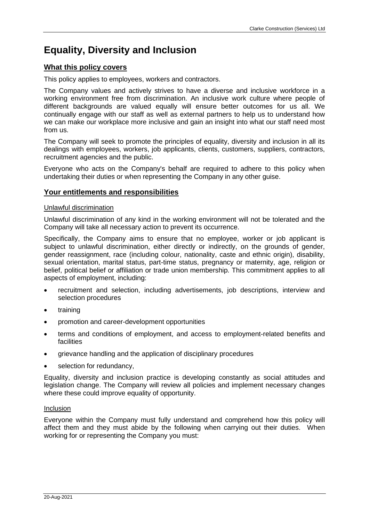# <span id="page-32-0"></span>**Equality, Diversity and Inclusion**

# **What this policy covers**

This policy applies to employees, workers and contractors.

The Company values and actively strives to have a diverse and inclusive workforce in a working environment free from discrimination. An inclusive work culture where people of different backgrounds are valued equally will ensure better outcomes for us all. We continually engage with our staff as well as external partners to help us to understand how we can make our workplace more inclusive and gain an insight into what our staff need most from us.

The Company will seek to promote the principles of equality, diversity and inclusion in all its dealings with employees, workers, job applicants, clients, customers, suppliers, contractors, recruitment agencies and the public.

Everyone who acts on the Company's behalf are required to adhere to this policy when undertaking their duties or when representing the Company in any other guise.

# **Your entitlements and responsibilities**

# Unlawful discrimination

Unlawful discrimination of any kind in the working environment will not be tolerated and the Company will take all necessary action to prevent its occurrence.

Specifically, the Company aims to ensure that no employee, worker or job applicant is subject to unlawful discrimination, either directly or indirectly, on the grounds of gender, gender reassignment, race (including colour, nationality, caste and ethnic origin), disability, sexual orientation, marital status, part-time status, pregnancy or maternity, age, religion or belief, political belief or affiliation or trade union membership. This commitment applies to all aspects of employment, including:

- recruitment and selection, including advertisements, job descriptions, interview and selection procedures
- training
- promotion and career-development opportunities
- terms and conditions of employment, and access to employment-related benefits and facilities
- grievance handling and the application of disciplinary procedures
- selection for redundancy,

Equality, diversity and inclusion practice is developing constantly as social attitudes and legislation change. The Company will review all policies and implement necessary changes where these could improve equality of opportunity.

# Inclusion

Everyone within the Company must fully understand and comprehend how this policy will affect them and they must abide by the following when carrying out their duties. When working for or representing the Company you must: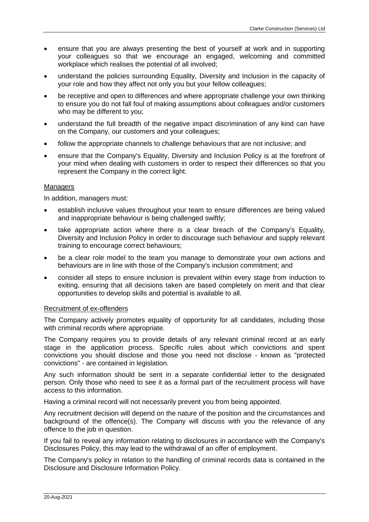- ensure that you are always presenting the best of yourself at work and in supporting your colleagues so that we encourage an engaged, welcoming and committed workplace which realises the potential of all involved;
- understand the policies surrounding Equality, Diversity and Inclusion in the capacity of your role and how they affect not only you but your fellow colleagues;
- be receptive and open to differences and where appropriate challenge your own thinking to ensure you do not fall foul of making assumptions about colleagues and/or customers who may be different to you;
- understand the full breadth of the negative impact discrimination of any kind can have on the Company, our customers and your colleagues;
- follow the appropriate channels to challenge behaviours that are not inclusive; and
- ensure that the Company's Equality, Diversity and Inclusion Policy is at the forefront of your mind when dealing with customers in order to respect their differences so that you represent the Company in the correct light.

# Managers

In addition, managers must:

- establish inclusive values throughout your team to ensure differences are being valued and inappropriate behaviour is being challenged swiftly;
- take appropriate action where there is a clear breach of the Company's Equality, Diversity and Inclusion Policy in order to discourage such behaviour and supply relevant training to encourage correct behaviours;
- be a clear role model to the team you manage to demonstrate your own actions and behaviours are in line with those of the Company's inclusion commitment; and
- consider all steps to ensure inclusion is prevalent within every stage from induction to exiting, ensuring that all decisions taken are based completely on merit and that clear opportunities to develop skills and potential is available to all.

## Recruitment of ex-offenders

The Company actively promotes equality of opportunity for all candidates, including those with criminal records where appropriate.

The Company requires you to provide details of any relevant criminal record at an early stage in the application process. Specific rules about which convictions and spent convictions you should disclose and those you need not disclose - known as "protected convictions" - are contained in legislation.

Any such information should be sent in a separate confidential letter to the designated person. Only those who need to see it as a formal part of the recruitment process will have access to this information.

Having a criminal record will not necessarily prevent you from being appointed.

Any recruitment decision will depend on the nature of the position and the circumstances and background of the offence(s). The Company will discuss with you the relevance of any offence to the job in question.

If you fail to reveal any information relating to disclosures in accordance with the Company's Disclosures Policy, this may lead to the withdrawal of an offer of employment.

The Company's policy in relation to the handling of criminal records data is contained in the Disclosure and Disclosure Information Policy.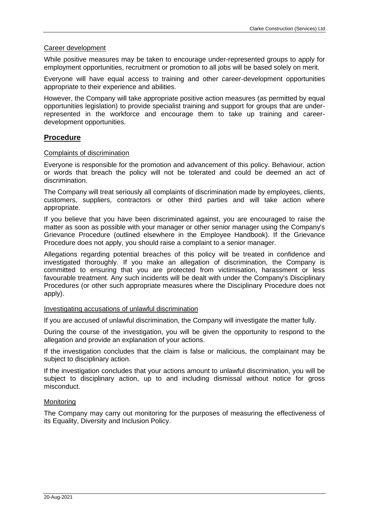#### Career development

While positive measures may be taken to encourage under-represented groups to apply for employment opportunities, recruitment or promotion to all jobs will be based solely on merit.

Everyone will have equal access to training and other career-development opportunities appropriate to their experience and abilities.

However, the Company will take appropriate positive action measures (as permitted by equal opportunities legislation) to provide specialist training and support for groups that are underrepresented in the workforce and encourage them to take up training and careerdevelopment opportunities.

# **Procedure**

#### Complaints of discrimination

Everyone is responsible for the promotion and advancement of this policy. Behaviour, action or words that breach the policy will not be tolerated and could be deemed an act of discrimination.

The Company will treat seriously all complaints of discrimination made by employees, clients, customers, suppliers, contractors or other third parties and will take action where appropriate.

If you believe that you have been discriminated against, you are encouraged to raise the matter as soon as possible with your manager or other senior manager using the Company's Grievance Procedure (outlined elsewhere in the Employee Handbook). If the Grievance Procedure does not apply, you should raise a complaint to a senior manager.

Allegations regarding potential breaches of this policy will be treated in confidence and investigated thoroughly. If you make an allegation of discrimination, the Company is committed to ensuring that you are protected from victimisation, harassment or less favourable treatment. Any such incidents will be dealt with under the Company's Disciplinary Procedures (or other such appropriate measures where the Disciplinary Procedure does not apply).

#### Investigating accusations of unlawful discrimination

If you are accused of unlawful discrimination, the Company will investigate the matter fully.

During the course of the investigation, you will be given the opportunity to respond to the allegation and provide an explanation of your actions.

If the investigation concludes that the claim is false or malicious, the complainant may be subject to disciplinary action.

If the investigation concludes that your actions amount to unlawful discrimination, you will be subject to disciplinary action, up to and including dismissal without notice for gross misconduct.

#### **Monitoring**

The Company may carry out monitoring for the purposes of measuring the effectiveness of its Equality, Diversity and Inclusion Policy.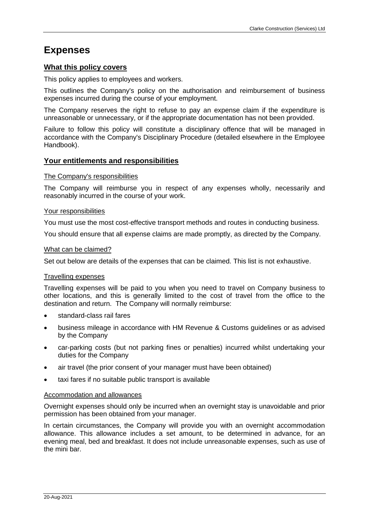# **Expenses**

# **What this policy covers**

This policy applies to employees and workers.

This outlines the Company's policy on the authorisation and reimbursement of business expenses incurred during the course of your employment.

The Company reserves the right to refuse to pay an expense claim if the expenditure is unreasonable or unnecessary, or if the appropriate documentation has not been provided.

Failure to follow this policy will constitute a disciplinary offence that will be managed in accordance with the Company's Disciplinary Procedure (detailed elsewhere in the Employee Handbook).

# **Your entitlements and responsibilities**

#### The Company's responsibilities

The Company will reimburse you in respect of any expenses wholly, necessarily and reasonably incurred in the course of your work.

## Your responsibilities

You must use the most cost-effective transport methods and routes in conducting business.

You should ensure that all expense claims are made promptly, as directed by the Company.

## What can be claimed?

Set out below are details of the expenses that can be claimed. This list is not exhaustive.

#### Travelling expenses

Travelling expenses will be paid to you when you need to travel on Company business to other locations, and this is generally limited to the cost of travel from the office to the destination and return. The Company will normally reimburse:

- standard-class rail fares
- business mileage in accordance with HM Revenue & Customs guidelines or as advised by the Company
- car-parking costs (but not parking fines or penalties) incurred whilst undertaking your duties for the Company
- air travel (the prior consent of your manager must have been obtained)
- taxi fares if no suitable public transport is available

#### Accommodation and allowances

Overnight expenses should only be incurred when an overnight stay is unavoidable and prior permission has been obtained from your manager.

In certain circumstances, the Company will provide you with an overnight accommodation allowance. This allowance includes a set amount, to be determined in advance, for an evening meal, bed and breakfast. It does not include unreasonable expenses, such as use of the mini bar.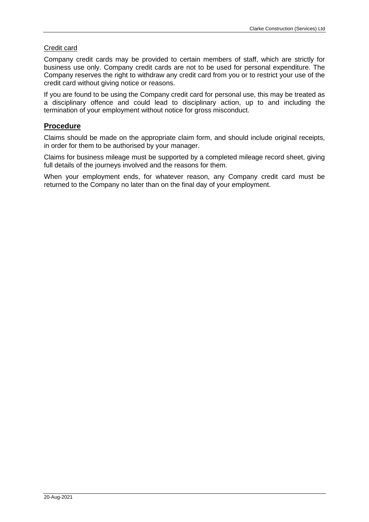# Credit card

Company credit cards may be provided to certain members of staff, which are strictly for business use only. Company credit cards are not to be used for personal expenditure. The Company reserves the right to withdraw any credit card from you or to restrict your use of the credit card without giving notice or reasons.

If you are found to be using the Company credit card for personal use, this may be treated as a disciplinary offence and could lead to disciplinary action, up to and including the termination of your employment without notice for gross misconduct.

# **Procedure**

Claims should be made on the appropriate claim form, and should include original receipts, in order for them to be authorised by your manager.

Claims for business mileage must be supported by a completed mileage record sheet, giving full details of the journeys involved and the reasons for them.

When your employment ends, for whatever reason, any Company credit card must be returned to the Company no later than on the final day of your employment.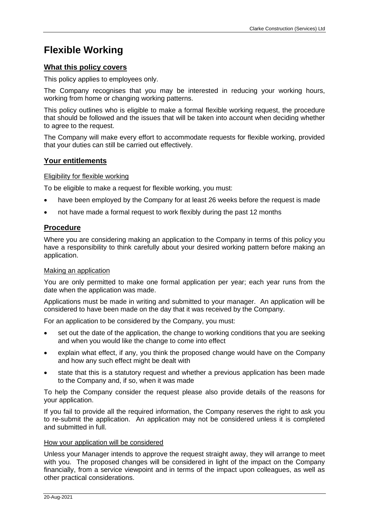# **Flexible Working**

# **What this policy covers**

This policy applies to employees only.

The Company recognises that you may be interested in reducing your working hours, working from home or changing working patterns.

This policy outlines who is eligible to make a formal flexible working request, the procedure that should be followed and the issues that will be taken into account when deciding whether to agree to the request.

The Company will make every effort to accommodate requests for flexible working, provided that your duties can still be carried out effectively.

# **Your entitlements**

#### Eligibility for flexible working

To be eligible to make a request for flexible working, you must:

- have been employed by the Company for at least 26 weeks before the request is made
- not have made a formal request to work flexibly during the past 12 months

# **Procedure**

Where you are considering making an application to the Company in terms of this policy you have a responsibility to think carefully about your desired working pattern before making an application.

### Making an application

You are only permitted to make one formal application per year; each year runs from the date when the application was made.

Applications must be made in writing and submitted to your manager. An application will be considered to have been made on the day that it was received by the Company.

For an application to be considered by the Company, you must:

- set out the date of the application, the change to working conditions that you are seeking and when you would like the change to come into effect
- explain what effect, if any, you think the proposed change would have on the Company and how any such effect might be dealt with
- state that this is a statutory request and whether a previous application has been made to the Company and, if so, when it was made

To help the Company consider the request please also provide details of the reasons for your application.

If you fail to provide all the required information, the Company reserves the right to ask you to re-submit the application. An application may not be considered unless it is completed and submitted in full.

#### How your application will be considered

Unless your Manager intends to approve the request straight away, they will arrange to meet with you. The proposed changes will be considered in light of the impact on the Company financially, from a service viewpoint and in terms of the impact upon colleagues, as well as other practical considerations.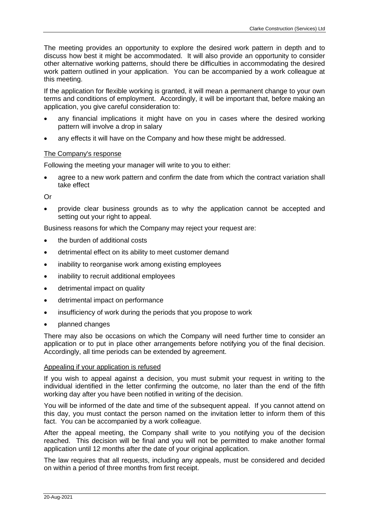The meeting provides an opportunity to explore the desired work pattern in depth and to discuss how best it might be accommodated. It will also provide an opportunity to consider other alternative working patterns, should there be difficulties in accommodating the desired work pattern outlined in your application. You can be accompanied by a work colleague at this meeting.

If the application for flexible working is granted, it will mean a permanent change to your own terms and conditions of employment. Accordingly, it will be important that, before making an application, you give careful consideration to:

- any financial implications it might have on you in cases where the desired working pattern will involve a drop in salary
- any effects it will have on the Company and how these might be addressed.

# The Company's response

Following the meeting your manager will write to you to either:

• agree to a new work pattern and confirm the date from which the contract variation shall take effect

Or

• provide clear business grounds as to why the application cannot be accepted and setting out your right to appeal.

Business reasons for which the Company may reject your request are:

- the burden of additional costs
- detrimental effect on its ability to meet customer demand
- inability to reorganise work among existing employees
- inability to recruit additional employees
- detrimental impact on quality
- detrimental impact on performance
- insufficiency of work during the periods that you propose to work
- planned changes

There may also be occasions on which the Company will need further time to consider an application or to put in place other arrangements before notifying you of the final decision. Accordingly, all time periods can be extended by agreement.

#### Appealing if your application is refused

If you wish to appeal against a decision, you must submit your request in writing to the individual identified in the letter confirming the outcome, no later than the end of the fifth working day after you have been notified in writing of the decision.

You will be informed of the date and time of the subsequent appeal. If you cannot attend on this day, you must contact the person named on the invitation letter to inform them of this fact. You can be accompanied by a work colleague.

After the appeal meeting, the Company shall write to you notifying you of the decision reached. This decision will be final and you will not be permitted to make another formal application until 12 months after the date of your original application.

The law requires that all requests, including any appeals, must be considered and decided on within a period of three months from first receipt.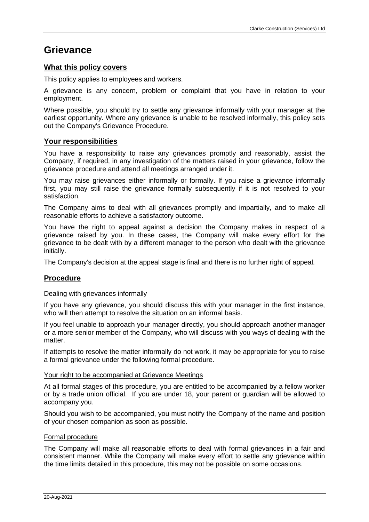# **Grievance**

# **What this policy covers**

This policy applies to employees and workers.

A grievance is any concern, problem or complaint that you have in relation to your employment.

Where possible, you should try to settle any grievance informally with your manager at the earliest opportunity. Where any grievance is unable to be resolved informally, this policy sets out the Company's Grievance Procedure.

# **Your responsibilities**

You have a responsibility to raise any grievances promptly and reasonably, assist the Company, if required, in any investigation of the matters raised in your grievance, follow the grievance procedure and attend all meetings arranged under it.

You may raise grievances either informally or formally. If you raise a grievance informally first, you may still raise the grievance formally subsequently if it is not resolved to your satisfaction.

The Company aims to deal with all grievances promptly and impartially, and to make all reasonable efforts to achieve a satisfactory outcome.

You have the right to appeal against a decision the Company makes in respect of a grievance raised by you. In these cases, the Company will make every effort for the grievance to be dealt with by a different manager to the person who dealt with the grievance initially.

The Company's decision at the appeal stage is final and there is no further right of appeal.

# **Procedure**

#### Dealing with grievances informally

If you have any grievance, you should discuss this with your manager in the first instance, who will then attempt to resolve the situation on an informal basis.

If you feel unable to approach your manager directly, you should approach another manager or a more senior member of the Company, who will discuss with you ways of dealing with the matter.

If attempts to resolve the matter informally do not work, it may be appropriate for you to raise a formal grievance under the following formal procedure.

#### Your right to be accompanied at Grievance Meetings

At all formal stages of this procedure, you are entitled to be accompanied by a fellow worker or by a trade union official. If you are under 18, your parent or guardian will be allowed to accompany you.

Should you wish to be accompanied, you must notify the Company of the name and position of your chosen companion as soon as possible.

### Formal procedure

The Company will make all reasonable efforts to deal with formal grievances in a fair and consistent manner. While the Company will make every effort to settle any grievance within the time limits detailed in this procedure, this may not be possible on some occasions.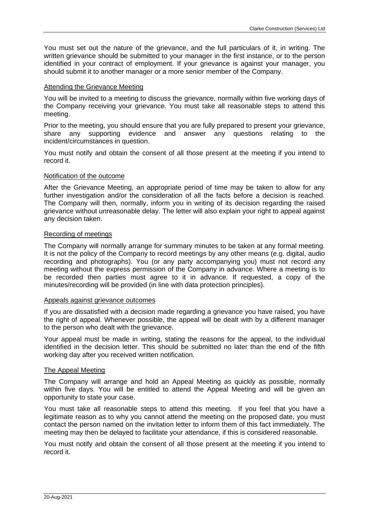You must set out the nature of the grievance, and the full particulars of it, in writing. The written grievance should be submitted to your manager in the first instance, or to the person identified in your contract of employment. If your grievance is against your manager, you should submit it to another manager or a more senior member of the Company.

#### Attending the Grievance Meeting

You will be invited to a meeting to discuss the grievance, normally within five working days of the Company receiving your grievance. You must take all reasonable steps to attend this meeting.

Prior to the meeting, you should ensure that you are fully prepared to present your grievance, share any supporting evidence and answer any questions relating to the incident/circumstances in question.

You must notify and obtain the consent of all those present at the meeting if you intend to record it.

## Notification of the outcome

After the Grievance Meeting, an appropriate period of time may be taken to allow for any further investigation and/or the consideration of all the facts before a decision is reached. The Company will then, normally, inform you in writing of its decision regarding the raised grievance without unreasonable delay. The letter will also explain your right to appeal against any decision taken.

## Recording of meetings

The Company will normally arrange for summary minutes to be taken at any formal meeting. It is not the policy of the Company to record meetings by any other means (e.g. digital, audio recording and photographs). You (or any party accompanying you) must not record any meeting without the express permission of the Company in advance. Where a meeting is to be recorded then parties must agree to it in advance. If requested, a copy of the minutes/recording will be provided (in line with data protection principles).

#### Appeals against grievance outcomes

If you are dissatisfied with a decision made regarding a grievance you have raised, you have the right of appeal. Whenever possible, the appeal will be dealt with by a different manager to the person who dealt with the grievance.

Your appeal must be made in writing, stating the reasons for the appeal, to the individual identified in the decision letter. This should be submitted no later than the end of the fifth working day after you received written notification.

# The Appeal Meeting

The Company will arrange and hold an Appeal Meeting as quickly as possible, normally within five days. You will be entitled to attend the Appeal Meeting and will be given an opportunity to state your case.

You must take all reasonable steps to attend this meeting. If you feel that you have a legitimate reason as to why you cannot attend the meeting on the proposed date, you must contact the person named on the invitation letter to inform them of this fact immediately. The meeting may then be delayed to facilitate your attendance, if this is considered reasonable.

You must notify and obtain the consent of all those present at the meeting if you intend to record it.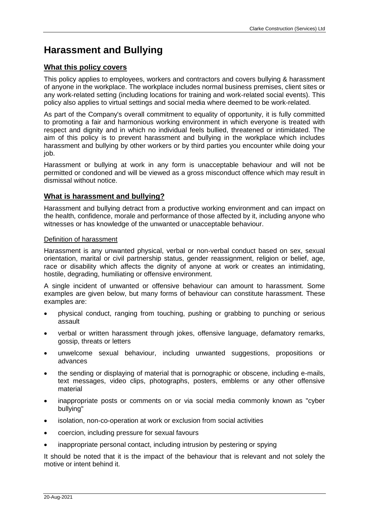# **Harassment and Bullying**

# **What this policy covers**

This policy applies to employees, workers and contractors and covers bullying & harassment of anyone in the workplace. The workplace includes normal business premises, client sites or any work-related setting (including locations for training and work-related social events). This policy also applies to virtual settings and social media where deemed to be work-related.

As part of the Company's overall commitment to equality of opportunity, it is fully committed to promoting a fair and harmonious working environment in which everyone is treated with respect and dignity and in which no individual feels bullied, threatened or intimidated. The aim of this policy is to prevent harassment and bullying in the workplace which includes harassment and bullying by other workers or by third parties you encounter while doing your job.

Harassment or bullying at work in any form is unacceptable behaviour and will not be permitted or condoned and will be viewed as a gross misconduct offence which may result in dismissal without notice.

# **What is harassment and bullying?**

Harassment and bullying detract from a productive working environment and can impact on the health, confidence, morale and performance of those affected by it, including anyone who witnesses or has knowledge of the unwanted or unacceptable behaviour.

## Definition of harassment

Harassment is any unwanted physical, verbal or non-verbal conduct based on sex, sexual orientation, marital or civil partnership status, gender reassignment, religion or belief, age, race or disability which affects the dignity of anyone at work or creates an intimidating, hostile, degrading, humiliating or offensive environment.

A single incident of unwanted or offensive behaviour can amount to harassment. Some examples are given below, but many forms of behaviour can constitute harassment. These examples are:

- physical conduct, ranging from touching, pushing or grabbing to punching or serious assault
- verbal or written harassment through jokes, offensive language, defamatory remarks, gossip, threats or letters
- unwelcome sexual behaviour, including unwanted suggestions, propositions or advances
- the sending or displaying of material that is pornographic or obscene, including e-mails, text messages, video clips, photographs, posters, emblems or any other offensive material
- inappropriate posts or comments on or via social media commonly known as "cyber bullying"
- isolation, non-co-operation at work or exclusion from social activities
- coercion, including pressure for sexual favours
- inappropriate personal contact, including intrusion by pestering or spying

It should be noted that it is the impact of the behaviour that is relevant and not solely the motive or intent behind it.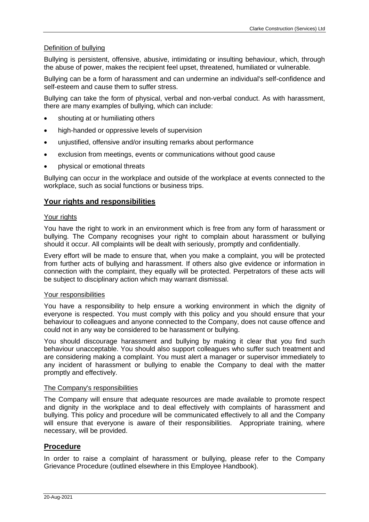# Definition of bullying

Bullying is persistent, offensive, abusive, intimidating or insulting behaviour, which, through the abuse of power, makes the recipient feel upset, threatened, humiliated or vulnerable.

Bullying can be a form of harassment and can undermine an individual's self-confidence and self-esteem and cause them to suffer stress.

Bullying can take the form of physical, verbal and non-verbal conduct. As with harassment, there are many examples of bullying, which can include:

- shouting at or humiliating others
- high-handed or oppressive levels of supervision
- unjustified, offensive and/or insulting remarks about performance
- exclusion from meetings, events or communications without good cause
- physical or emotional threats

Bullying can occur in the workplace and outside of the workplace at events connected to the workplace, such as social functions or business trips.

# **Your rights and responsibilities**

#### Your rights

You have the right to work in an environment which is free from any form of harassment or bullying. The Company recognises your right to complain about harassment or bullying should it occur. All complaints will be dealt with seriously, promptly and confidentially.

Every effort will be made to ensure that, when you make a complaint, you will be protected from further acts of bullying and harassment. If others also give evidence or information in connection with the complaint, they equally will be protected. Perpetrators of these acts will be subject to disciplinary action which may warrant dismissal.

#### Your responsibilities

You have a responsibility to help ensure a working environment in which the dignity of everyone is respected. You must comply with this policy and you should ensure that your behaviour to colleagues and anyone connected to the Company, does not cause offence and could not in any way be considered to be harassment or bullying.

You should discourage harassment and bullying by making it clear that you find such behaviour unacceptable. You should also support colleagues who suffer such treatment and are considering making a complaint. You must alert a manager or supervisor immediately to any incident of harassment or bullying to enable the Company to deal with the matter promptly and effectively.

#### The Company's responsibilities

The Company will ensure that adequate resources are made available to promote respect and dignity in the workplace and to deal effectively with complaints of harassment and bullying. This policy and procedure will be communicated effectively to all and the Company will ensure that everyone is aware of their responsibilities. Appropriate training, where necessary, will be provided.

# **Procedure**

In order to raise a complaint of harassment or bullying, please refer to the Company Grievance Procedure (outlined elsewhere in this Employee Handbook).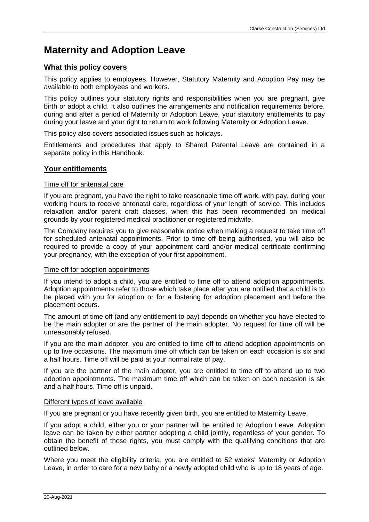# **Maternity and Adoption Leave**

# **What this policy covers**

This policy applies to employees. However, Statutory Maternity and Adoption Pay may be available to both employees and workers.

This policy outlines your statutory rights and responsibilities when you are pregnant, give birth or adopt a child. It also outlines the arrangements and notification requirements before, during and after a period of Maternity or Adoption Leave, your statutory entitlements to pay during your leave and your right to return to work following Maternity or Adoption Leave.

This policy also covers associated issues such as holidays.

Entitlements and procedures that apply to Shared Parental Leave are contained in a separate policy in this Handbook.

# **Your entitlements**

## Time off for antenatal care

If you are pregnant, you have the right to take reasonable time off work, with pay, during your working hours to receive antenatal care, regardless of your length of service. This includes relaxation and/or parent craft classes, when this has been recommended on medical grounds by your registered medical practitioner or registered midwife.

The Company requires you to give reasonable notice when making a request to take time off for scheduled antenatal appointments. Prior to time off being authorised, you will also be required to provide a copy of your appointment card and/or medical certificate confirming your pregnancy, with the exception of your first appointment.

#### Time off for adoption appointments

If you intend to adopt a child, you are entitled to time off to attend adoption appointments. Adoption appointments refer to those which take place after you are notified that a child is to be placed with you for adoption or for a fostering for adoption placement and before the placement occurs.

The amount of time off (and any entitlement to pay) depends on whether you have elected to be the main adopter or are the partner of the main adopter. No request for time off will be unreasonably refused.

If you are the main adopter, you are entitled to time off to attend adoption appointments on up to five occasions. The maximum time off which can be taken on each occasion is six and a half hours. Time off will be paid at your normal rate of pay.

If you are the partner of the main adopter, you are entitled to time off to attend up to two adoption appointments. The maximum time off which can be taken on each occasion is six and a half hours. Time off is unpaid.

#### Different types of leave available

If you are pregnant or you have recently given birth, you are entitled to Maternity Leave.

If you adopt a child, either you or your partner will be entitled to Adoption Leave. Adoption leave can be taken by either partner adopting a child jointly, regardless of your gender. To obtain the benefit of these rights, you must comply with the qualifying conditions that are outlined below.

Where you meet the eligibility criteria, you are entitled to 52 weeks' Maternity or Adoption Leave, in order to care for a new baby or a newly adopted child who is up to 18 years of age.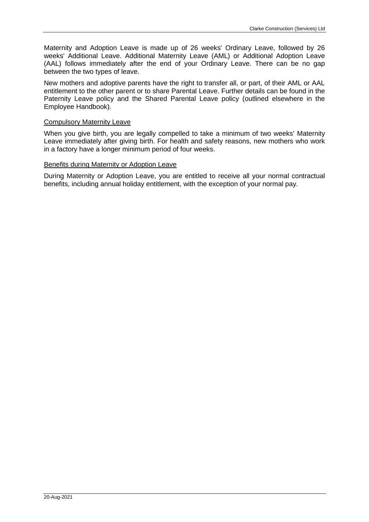Maternity and Adoption Leave is made up of 26 weeks' Ordinary Leave, followed by 26 weeks' Additional Leave. Additional Maternity Leave (AML) or Additional Adoption Leave (AAL) follows immediately after the end of your Ordinary Leave. There can be no gap between the two types of leave.

New mothers and adoptive parents have the right to transfer all, or part, of their AML or AAL entitlement to the other parent or to share Parental Leave. Further details can be found in the Paternity Leave policy and the Shared Parental Leave policy (outlined elsewhere in the Employee Handbook).

# Compulsory Maternity Leave

When you give birth, you are legally compelled to take a minimum of two weeks' Maternity Leave immediately after giving birth. For health and safety reasons, new mothers who work in a factory have a longer minimum period of four weeks.

# Benefits during Maternity or Adoption Leave

During Maternity or Adoption Leave, you are entitled to receive all your normal contractual benefits, including annual holiday entitlement, with the exception of your normal pay.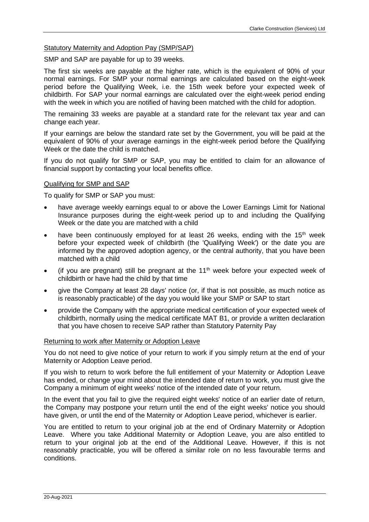## Statutory Maternity and Adoption Pay (SMP/SAP)

SMP and SAP are payable for up to 39 weeks.

The first six weeks are payable at the higher rate, which is the equivalent of 90% of your normal earnings. For SMP your normal earnings are calculated based on the eight-week period before the Qualifying Week, i.e. the 15th week before your expected week of childbirth. For SAP your normal earnings are calculated over the eight-week period ending with the week in which you are notified of having been matched with the child for adoption.

The remaining 33 weeks are payable at a standard rate for the relevant tax year and can change each year.

If your earnings are below the standard rate set by the Government, you will be paid at the equivalent of 90% of your average earnings in the eight-week period before the Qualifying Week or the date the child is matched.

If you do not qualify for SMP or SAP, you may be entitled to claim for an allowance of financial support by contacting your local benefits office.

#### Qualifying for SMP and SAP

To qualify for SMP or SAP you must:

- have average weekly earnings equal to or above the Lower Earnings Limit for National Insurance purposes during the eight-week period up to and including the Qualifying Week or the date you are matched with a child
- have been continuously employed for at least 26 weeks, ending with the 15<sup>th</sup> week before your expected week of childbirth (the 'Qualifying Week') or the date you are informed by the approved adoption agency, or the central authority, that you have been matched with a child
- (if you are pregnant) still be pregnant at the  $11<sup>th</sup>$  week before your expected week of childbirth or have had the child by that time
- give the Company at least 28 days' notice (or, if that is not possible, as much notice as is reasonably practicable) of the day you would like your SMP or SAP to start
- provide the Company with the appropriate medical certification of your expected week of childbirth, normally using the medical certificate MAT B1, or provide a written declaration that you have chosen to receive SAP rather than Statutory Paternity Pay

#### Returning to work after Maternity or Adoption Leave

You do not need to give notice of your return to work if you simply return at the end of your Maternity or Adoption Leave period.

If you wish to return to work before the full entitlement of your Maternity or Adoption Leave has ended, or change your mind about the intended date of return to work, you must give the Company a minimum of eight weeks' notice of the intended date of your return.

In the event that you fail to give the required eight weeks' notice of an earlier date of return, the Company may postpone your return until the end of the eight weeks' notice you should have given, or until the end of the Maternity or Adoption Leave period, whichever is earlier.

You are entitled to return to your original job at the end of Ordinary Maternity or Adoption Leave. Where you take Additional Maternity or Adoption Leave, you are also entitled to return to your original job at the end of the Additional Leave. However, if this is not reasonably practicable, you will be offered a similar role on no less favourable terms and conditions.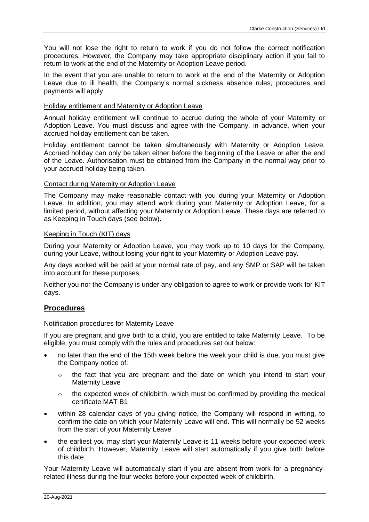You will not lose the right to return to work if you do not follow the correct notification procedures. However, the Company may take appropriate disciplinary action if you fail to return to work at the end of the Maternity or Adoption Leave period.

In the event that you are unable to return to work at the end of the Maternity or Adoption Leave due to ill health, the Company's normal sickness absence rules, procedures and payments will apply.

## Holiday entitlement and Maternity or Adoption Leave

Annual holiday entitlement will continue to accrue during the whole of your Maternity or Adoption Leave. You must discuss and agree with the Company, in advance, when your accrued holiday entitlement can be taken.

Holiday entitlement cannot be taken simultaneously with Maternity or Adoption Leave. Accrued holiday can only be taken either before the beginning of the Leave or after the end of the Leave. Authorisation must be obtained from the Company in the normal way prior to your accrued holiday being taken.

## Contact during Maternity or Adoption Leave

The Company may make reasonable contact with you during your Maternity or Adoption Leave. In addition, you may attend work during your Maternity or Adoption Leave, for a limited period, without affecting your Maternity or Adoption Leave. These days are referred to as Keeping in Touch days (see below).

## Keeping in Touch (KIT) days

During your Maternity or Adoption Leave, you may work up to 10 days for the Company, during your Leave, without losing your right to your Maternity or Adoption Leave pay.

Any days worked will be paid at your normal rate of pay, and any SMP or SAP will be taken into account for these purposes.

Neither you nor the Company is under any obligation to agree to work or provide work for KIT days.

# **Procedures**

# Notification procedures for Maternity Leave

If you are pregnant and give birth to a child, you are entitled to take Maternity Leave. To be eligible, you must comply with the rules and procedures set out below:

- no later than the end of the 15th week before the week your child is due, you must give the Company notice of:
	- o the fact that you are pregnant and the date on which you intend to start your Maternity Leave
	- o the expected week of childbirth, which must be confirmed by providing the medical certificate MAT B1
- within 28 calendar days of you giving notice, the Company will respond in writing, to confirm the date on which your Maternity Leave will end. This will normally be 52 weeks from the start of your Maternity Leave
- the earliest you may start your Maternity Leave is 11 weeks before your expected week of childbirth. However, Maternity Leave will start automatically if you give birth before this date

Your Maternity Leave will automatically start if you are absent from work for a pregnancyrelated illness during the four weeks before your expected week of childbirth.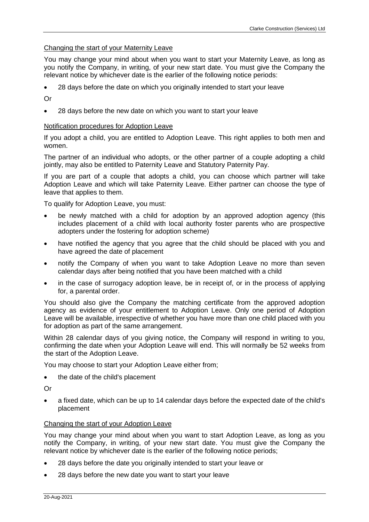## Changing the start of your Maternity Leave

You may change your mind about when you want to start your Maternity Leave, as long as you notify the Company, in writing, of your new start date. You must give the Company the relevant notice by whichever date is the earlier of the following notice periods:

• 28 days before the date on which you originally intended to start your leave

Or

• 28 days before the new date on which you want to start your leave

#### Notification procedures for Adoption Leave

If you adopt a child, you are entitled to Adoption Leave. This right applies to both men and women.

The partner of an individual who adopts, or the other partner of a couple adopting a child jointly, may also be entitled to Paternity Leave and Statutory Paternity Pay.

If you are part of a couple that adopts a child, you can choose which partner will take Adoption Leave and which will take Paternity Leave. Either partner can choose the type of leave that applies to them.

To qualify for Adoption Leave, you must:

- be newly matched with a child for adoption by an approved adoption agency (this includes placement of a child with local authority foster parents who are prospective adopters under the fostering for adoption scheme)
- have notified the agency that you agree that the child should be placed with you and have agreed the date of placement
- notify the Company of when you want to take Adoption Leave no more than seven calendar days after being notified that you have been matched with a child
- in the case of surrogacy adoption leave, be in receipt of, or in the process of applying for, a parental order.

You should also give the Company the matching certificate from the approved adoption agency as evidence of your entitlement to Adoption Leave. Only one period of Adoption Leave will be available, irrespective of whether you have more than one child placed with you for adoption as part of the same arrangement.

Within 28 calendar days of you giving notice, the Company will respond in writing to you, confirming the date when your Adoption Leave will end. This will normally be 52 weeks from the start of the Adoption Leave.

You may choose to start your Adoption Leave either from;

• the date of the child's placement

Or

• a fixed date, which can be up to 14 calendar days before the expected date of the child's placement

#### Changing the start of your Adoption Leave

You may change your mind about when you want to start Adoption Leave, as long as you notify the Company, in writing, of your new start date. You must give the Company the relevant notice by whichever date is the earlier of the following notice periods;

- 28 days before the date you originally intended to start your leave or
- 28 days before the new date you want to start your leave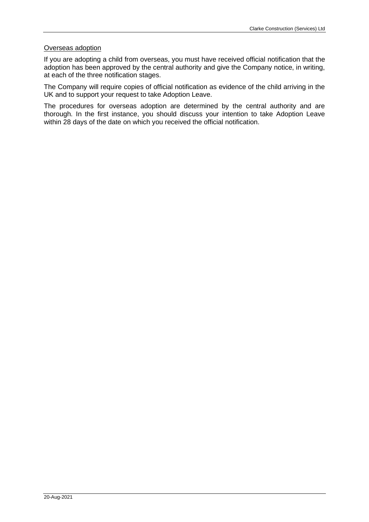## Overseas adoption

If you are adopting a child from overseas, you must have received official notification that the adoption has been approved by the central authority and give the Company notice, in writing, at each of the three notification stages.

The Company will require copies of official notification as evidence of the child arriving in the UK and to support your request to take Adoption Leave.

The procedures for overseas adoption are determined by the central authority and are thorough. In the first instance, you should discuss your intention to take Adoption Leave within 28 days of the date on which you received the official notification.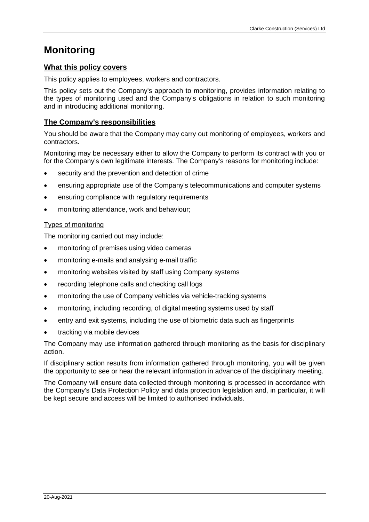# **Monitoring**

# **What this policy covers**

This policy applies to employees, workers and contractors.

This policy sets out the Company's approach to monitoring, provides information relating to the types of monitoring used and the Company's obligations in relation to such monitoring and in introducing additional monitoring.

# **The Company's responsibilities**

You should be aware that the Company may carry out monitoring of employees, workers and contractors.

Monitoring may be necessary either to allow the Company to perform its contract with you or for the Company's own legitimate interests. The Company's reasons for monitoring include:

- security and the prevention and detection of crime
- ensuring appropriate use of the Company's telecommunications and computer systems
- ensuring compliance with regulatory requirements
- monitoring attendance, work and behaviour;

# Types of monitoring

The monitoring carried out may include:

- monitoring of premises using video cameras
- monitoring e-mails and analysing e-mail traffic
- monitoring websites visited by staff using Company systems
- recording telephone calls and checking call logs
- monitoring the use of Company vehicles via vehicle-tracking systems
- monitoring, including recording, of digital meeting systems used by staff
- entry and exit systems, including the use of biometric data such as fingerprints
- tracking via mobile devices

The Company may use information gathered through monitoring as the basis for disciplinary action.

If disciplinary action results from information gathered through monitoring, you will be given the opportunity to see or hear the relevant information in advance of the disciplinary meeting.

The Company will ensure data collected through monitoring is processed in accordance with the Company's Data Protection Policy and data protection legislation and, in particular, it will be kept secure and access will be limited to authorised individuals.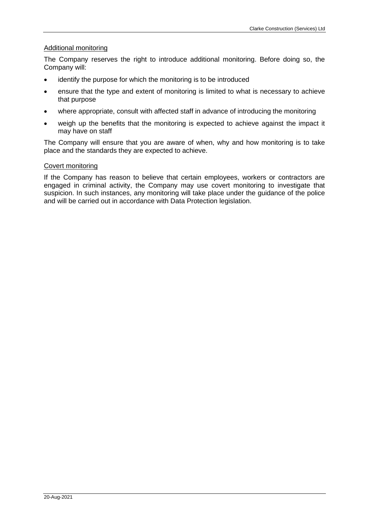## Additional monitoring

The Company reserves the right to introduce additional monitoring. Before doing so, the Company will:

- identify the purpose for which the monitoring is to be introduced
- ensure that the type and extent of monitoring is limited to what is necessary to achieve that purpose
- where appropriate, consult with affected staff in advance of introducing the monitoring
- weigh up the benefits that the monitoring is expected to achieve against the impact it may have on staff

The Company will ensure that you are aware of when, why and how monitoring is to take place and the standards they are expected to achieve.

## Covert monitoring

If the Company has reason to believe that certain employees, workers or contractors are engaged in criminal activity, the Company may use covert monitoring to investigate that suspicion. In such instances, any monitoring will take place under the guidance of the police and will be carried out in accordance with Data Protection legislation.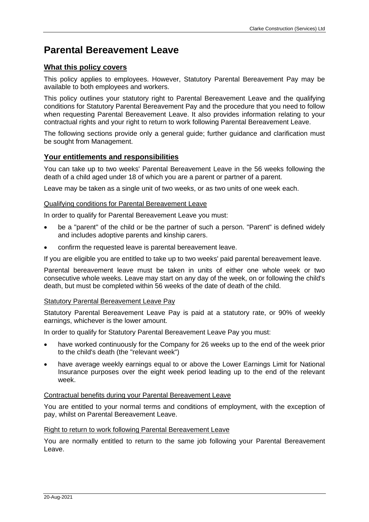# **Parental Bereavement Leave**

# **What this policy covers**

This policy applies to employees. However, Statutory Parental Bereavement Pay may be available to both employees and workers.

This policy outlines your statutory right to Parental Bereavement Leave and the qualifying conditions for Statutory Parental Bereavement Pay and the procedure that you need to follow when requesting Parental Bereavement Leave. It also provides information relating to your contractual rights and your right to return to work following Parental Bereavement Leave.

The following sections provide only a general guide; further guidance and clarification must be sought from Management.

# **Your entitlements and responsibilities**

You can take up to two weeks' Parental Bereavement Leave in the 56 weeks following the death of a child aged under 18 of which you are a parent or partner of a parent.

Leave may be taken as a single unit of two weeks, or as two units of one week each.

# Qualifying conditions for Parental Bereavement Leave

In order to qualify for Parental Bereavement Leave you must:

- be a "parent" of the child or be the partner of such a person. "Parent" is defined widely and includes adoptive parents and kinship carers.
- confirm the requested leave is parental bereavement leave.

If you are eligible you are entitled to take up to two weeks' paid parental bereavement leave.

Parental bereavement leave must be taken in units of either one whole week or two consecutive whole weeks. Leave may start on any day of the week, on or following the child's death, but must be completed within 56 weeks of the date of death of the child.

# **Statutory Parental Bereavement Leave Pay**

Statutory Parental Bereavement Leave Pay is paid at a statutory rate, or 90% of weekly earnings, whichever is the lower amount.

In order to qualify for Statutory Parental Bereavement Leave Pay you must:

- have worked continuously for the Company for 26 weeks up to the end of the week prior to the child's death (the "relevant week")
- have average weekly earnings equal to or above the Lower Earnings Limit for National Insurance purposes over the eight week period leading up to the end of the relevant week.

# Contractual benefits during your Parental Bereavement Leave

You are entitled to your normal terms and conditions of employment, with the exception of pay, whilst on Parental Bereavement Leave.

#### Right to return to work following Parental Bereavement Leave

You are normally entitled to return to the same job following your Parental Bereavement Leave.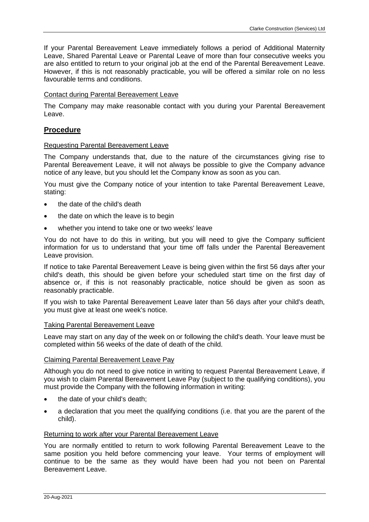If your Parental Bereavement Leave immediately follows a period of Additional Maternity Leave, Shared Parental Leave or Parental Leave of more than four consecutive weeks you are also entitled to return to your original job at the end of the Parental Bereavement Leave. However, if this is not reasonably practicable, you will be offered a similar role on no less favourable terms and conditions.

# Contact during Parental Bereavement Leave

The Company may make reasonable contact with you during your Parental Bereavement Leave.

# **Procedure**

### Requesting Parental Bereavement Leave

The Company understands that, due to the nature of the circumstances giving rise to Parental Bereavement Leave, it will not always be possible to give the Company advance notice of any leave, but you should let the Company know as soon as you can.

You must give the Company notice of your intention to take Parental Bereavement Leave, stating:

- the date of the child's death
- the date on which the leave is to begin
- whether you intend to take one or two weeks' leave

You do not have to do this in writing, but you will need to give the Company sufficient information for us to understand that your time off falls under the Parental Bereavement Leave provision.

If notice to take Parental Bereavement Leave is being given within the first 56 days after your child's death, this should be given before your scheduled start time on the first day of absence or, if this is not reasonably practicable, notice should be given as soon as reasonably practicable.

If you wish to take Parental Bereavement Leave later than 56 days after your child's death, you must give at least one week's notice.

#### Taking Parental Bereavement Leave

Leave may start on any day of the week on or following the child's death. Your leave must be completed within 56 weeks of the date of death of the child.

#### Claiming Parental Bereavement Leave Pay

Although you do not need to give notice in writing to request Parental Bereavement Leave, if you wish to claim Parental Bereavement Leave Pay (subject to the qualifying conditions), you must provide the Company with the following information in writing:

- the date of your child's death;
- a declaration that you meet the qualifying conditions (i.e. that you are the parent of the child).

#### Returning to work after your Parental Bereavement Leave

You are normally entitled to return to work following Parental Bereavement Leave to the same position you held before commencing your leave. Your terms of employment will continue to be the same as they would have been had you not been on Parental Bereavement Leave.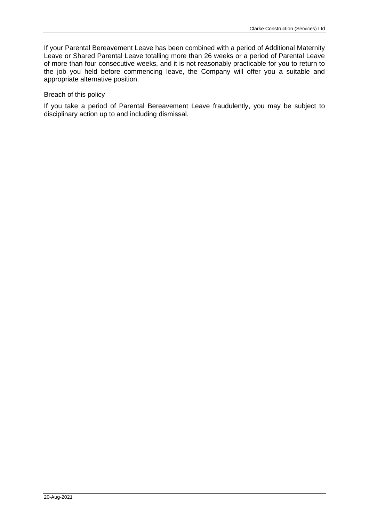If your Parental Bereavement Leave has been combined with a period of Additional Maternity Leave or Shared Parental Leave totalling more than 26 weeks or a period of Parental Leave of more than four consecutive weeks, and it is not reasonably practicable for you to return to the job you held before commencing leave, the Company will offer you a suitable and appropriate alternative position.

## **Breach of this policy**

If you take a period of Parental Bereavement Leave fraudulently, you may be subject to disciplinary action up to and including dismissal.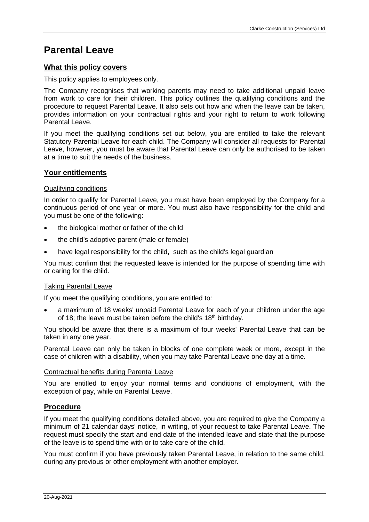# **Parental Leave**

# **What this policy covers**

This policy applies to employees only.

The Company recognises that working parents may need to take additional unpaid leave from work to care for their children. This policy outlines the qualifying conditions and the procedure to request Parental Leave. It also sets out how and when the leave can be taken, provides information on your contractual rights and your right to return to work following Parental Leave.

If you meet the qualifying conditions set out below, you are entitled to take the relevant Statutory Parental Leave for each child. The Company will consider all requests for Parental Leave, however, you must be aware that Parental Leave can only be authorised to be taken at a time to suit the needs of the business.

# **Your entitlements**

## Qualifying conditions

In order to qualify for Parental Leave, you must have been employed by the Company for a continuous period of one year or more. You must also have responsibility for the child and you must be one of the following:

- the biological mother or father of the child
- the child's adoptive parent (male or female)
- have legal responsibility for the child, such as the child's legal guardian

You must confirm that the requested leave is intended for the purpose of spending time with or caring for the child.

#### Taking Parental Leave

If you meet the qualifying conditions, you are entitled to:

• a maximum of 18 weeks' unpaid Parental Leave for each of your children under the age of 18; the leave must be taken before the child's  $18<sup>th</sup>$  birthday.

You should be aware that there is a maximum of four weeks' Parental Leave that can be taken in any one year.

Parental Leave can only be taken in blocks of one complete week or more, except in the case of children with a disability, when you may take Parental Leave one day at a time.

#### Contractual benefits during Parental Leave

You are entitled to enjoy your normal terms and conditions of employment, with the exception of pay, while on Parental Leave.

# **Procedure**

If you meet the qualifying conditions detailed above, you are required to give the Company a minimum of 21 calendar days' notice, in writing, of your request to take Parental Leave. The request must specify the start and end date of the intended leave and state that the purpose of the leave is to spend time with or to take care of the child.

You must confirm if you have previously taken Parental Leave, in relation to the same child, during any previous or other employment with another employer.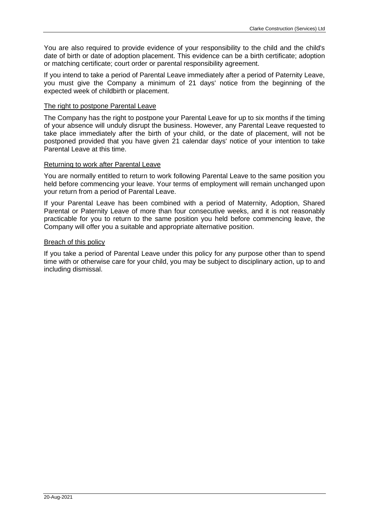You are also required to provide evidence of your responsibility to the child and the child's date of birth or date of adoption placement. This evidence can be a birth certificate; adoption or matching certificate; court order or parental responsibility agreement.

If you intend to take a period of Parental Leave immediately after a period of Paternity Leave, you must give the Company a minimum of 21 days' notice from the beginning of the expected week of childbirth or placement.

## The right to postpone Parental Leave

The Company has the right to postpone your Parental Leave for up to six months if the timing of your absence will unduly disrupt the business. However, any Parental Leave requested to take place immediately after the birth of your child, or the date of placement, will not be postponed provided that you have given 21 calendar days' notice of your intention to take Parental Leave at this time.

## Returning to work after Parental Leave

You are normally entitled to return to work following Parental Leave to the same position you held before commencing your leave. Your terms of employment will remain unchanged upon your return from a period of Parental Leave.

If your Parental Leave has been combined with a period of Maternity, Adoption, Shared Parental or Paternity Leave of more than four consecutive weeks, and it is not reasonably practicable for you to return to the same position you held before commencing leave, the Company will offer you a suitable and appropriate alternative position.

## Breach of this policy

If you take a period of Parental Leave under this policy for any purpose other than to spend time with or otherwise care for your child, you may be subject to disciplinary action, up to and including dismissal.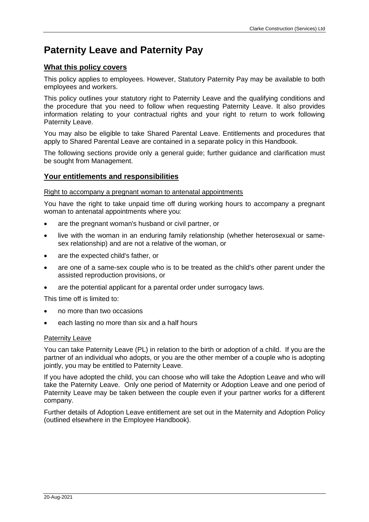# **Paternity Leave and Paternity Pay**

# **What this policy covers**

This policy applies to employees. However, Statutory Paternity Pay may be available to both employees and workers.

This policy outlines your statutory right to Paternity Leave and the qualifying conditions and the procedure that you need to follow when requesting Paternity Leave. It also provides information relating to your contractual rights and your right to return to work following Paternity Leave.

You may also be eligible to take Shared Parental Leave. Entitlements and procedures that apply to Shared Parental Leave are contained in a separate policy in this Handbook.

The following sections provide only a general guide; further guidance and clarification must be sought from Management.

# **Your entitlements and responsibilities**

#### Right to accompany a pregnant woman to antenatal appointments

You have the right to take unpaid time off during working hours to accompany a pregnant woman to antenatal appointments where you:

- are the pregnant woman's husband or civil partner, or
- live with the woman in an enduring family relationship (whether heterosexual or samesex relationship) and are not a relative of the woman, or
- are the expected child's father, or
- are one of a same-sex couple who is to be treated as the child's other parent under the assisted reproduction provisions, or
- are the potential applicant for a parental order under surrogacy laws.

This time off is limited to:

- no more than two occasions
- each lasting no more than six and a half hours

#### Paternity Leave

You can take Paternity Leave (PL) in relation to the birth or adoption of a child. If you are the partner of an individual who adopts, or you are the other member of a couple who is adopting jointly, you may be entitled to Paternity Leave.

If you have adopted the child, you can choose who will take the Adoption Leave and who will take the Paternity Leave. Only one period of Maternity or Adoption Leave and one period of Paternity Leave may be taken between the couple even if your partner works for a different company.

Further details of Adoption Leave entitlement are set out in the Maternity and Adoption Policy (outlined elsewhere in the Employee Handbook).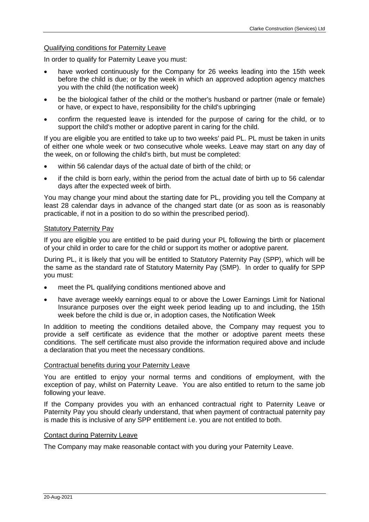## Qualifying conditions for Paternity Leave

In order to qualify for Paternity Leave you must:

- have worked continuously for the Company for 26 weeks leading into the 15th week before the child is due; or by the week in which an approved adoption agency matches you with the child (the notification week)
- be the biological father of the child or the mother's husband or partner (male or female) or have, or expect to have, responsibility for the child's upbringing
- confirm the requested leave is intended for the purpose of caring for the child, or to support the child's mother or adoptive parent in caring for the child.

If you are eligible you are entitled to take up to two weeks' paid PL. PL must be taken in units of either one whole week or two consecutive whole weeks. Leave may start on any day of the week, on or following the child's birth, but must be completed:

- within 56 calendar days of the actual date of birth of the child; or
- if the child is born early, within the period from the actual date of birth up to 56 calendar days after the expected week of birth.

You may change your mind about the starting date for PL, providing you tell the Company at least 28 calendar days in advance of the changed start date (or as soon as is reasonably practicable, if not in a position to do so within the prescribed period).

## Statutory Paternity Pay

If you are eligible you are entitled to be paid during your PL following the birth or placement of your child in order to care for the child or support its mother or adoptive parent.

During PL, it is likely that you will be entitled to Statutory Paternity Pay (SPP), which will be the same as the standard rate of Statutory Maternity Pay (SMP). In order to qualify for SPP you must:

- meet the PL qualifying conditions mentioned above and
- have average weekly earnings equal to or above the Lower Earnings Limit for National Insurance purposes over the eight week period leading up to and including, the 15th week before the child is due or, in adoption cases, the Notification Week

In addition to meeting the conditions detailed above, the Company may request you to provide a self certificate as evidence that the mother or adoptive parent meets these conditions. The self certificate must also provide the information required above and include a declaration that you meet the necessary conditions.

### Contractual benefits during your Paternity Leave

You are entitled to enjoy your normal terms and conditions of employment, with the exception of pay, whilst on Paternity Leave. You are also entitled to return to the same job following your leave.

If the Company provides you with an enhanced contractual right to Paternity Leave or Paternity Pay you should clearly understand, that when payment of contractual paternity pay is made this is inclusive of any SPP entitlement i.e. you are not entitled to both.

#### Contact during Paternity Leave

The Company may make reasonable contact with you during your Paternity Leave.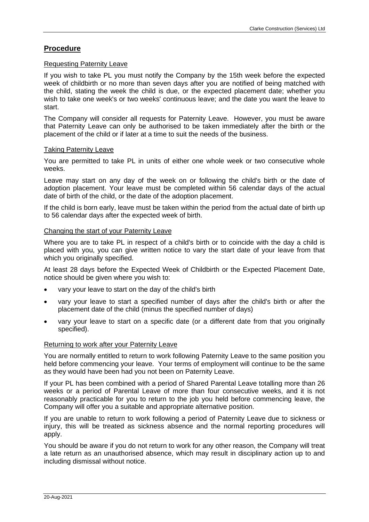# **Procedure**

## Requesting Paternity Leave

If you wish to take PL you must notify the Company by the 15th week before the expected week of childbirth or no more than seven days after you are notified of being matched with the child, stating the week the child is due, or the expected placement date; whether you wish to take one week's or two weeks' continuous leave; and the date you want the leave to start.

The Company will consider all requests for Paternity Leave. However, you must be aware that Paternity Leave can only be authorised to be taken immediately after the birth or the placement of the child or if later at a time to suit the needs of the business.

## Taking Paternity Leave

You are permitted to take PL in units of either one whole week or two consecutive whole weeks.

Leave may start on any day of the week on or following the child's birth or the date of adoption placement. Your leave must be completed within 56 calendar days of the actual date of birth of the child, or the date of the adoption placement.

If the child is born early, leave must be taken within the period from the actual date of birth up to 56 calendar days after the expected week of birth.

## Changing the start of your Paternity Leave

Where you are to take PL in respect of a child's birth or to coincide with the day a child is placed with you, you can give written notice to vary the start date of your leave from that which you originally specified.

At least 28 days before the Expected Week of Childbirth or the Expected Placement Date, notice should be given where you wish to:

- vary your leave to start on the day of the child's birth
- vary your leave to start a specified number of days after the child's birth or after the placement date of the child (minus the specified number of days)
- vary your leave to start on a specific date (or a different date from that you originally specified).

# Returning to work after your Paternity Leave

You are normally entitled to return to work following Paternity Leave to the same position you held before commencing your leave. Your terms of employment will continue to be the same as they would have been had you not been on Paternity Leave.

If your PL has been combined with a period of Shared Parental Leave totalling more than 26 weeks or a period of Parental Leave of more than four consecutive weeks, and it is not reasonably practicable for you to return to the job you held before commencing leave, the Company will offer you a suitable and appropriate alternative position.

If you are unable to return to work following a period of Paternity Leave due to sickness or injury, this will be treated as sickness absence and the normal reporting procedures will apply.

You should be aware if you do not return to work for any other reason, the Company will treat a late return as an unauthorised absence, which may result in disciplinary action up to and including dismissal without notice.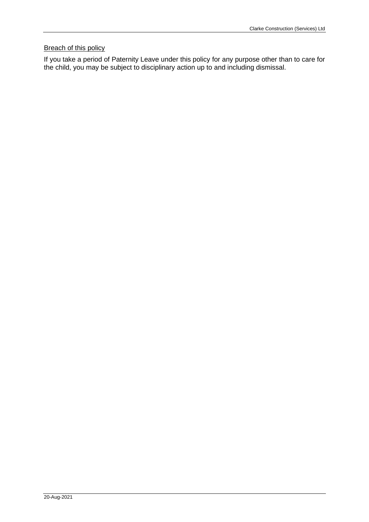# **Breach of this policy**

If you take a period of Paternity Leave under this policy for any purpose other than to care for the child, you may be subject to disciplinary action up to and including dismissal.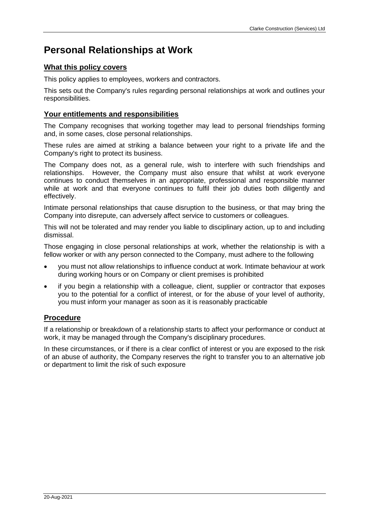# **Personal Relationships at Work**

# **What this policy covers**

This policy applies to employees, workers and contractors.

This sets out the Company's rules regarding personal relationships at work and outlines your responsibilities.

# **Your entitlements and responsibilities**

The Company recognises that working together may lead to personal friendships forming and, in some cases, close personal relationships.

These rules are aimed at striking a balance between your right to a private life and the Company's right to protect its business.

The Company does not, as a general rule, wish to interfere with such friendships and relationships. However, the Company must also ensure that whilst at work everyone continues to conduct themselves in an appropriate, professional and responsible manner while at work and that everyone continues to fulfil their job duties both diligently and effectively.

Intimate personal relationships that cause disruption to the business, or that may bring the Company into disrepute, can adversely affect service to customers or colleagues.

This will not be tolerated and may render you liable to disciplinary action, up to and including dismissal.

Those engaging in close personal relationships at work, whether the relationship is with a fellow worker or with any person connected to the Company, must adhere to the following

- you must not allow relationships to influence conduct at work. Intimate behaviour at work during working hours or on Company or client premises is prohibited
- if you begin a relationship with a colleague, client, supplier or contractor that exposes you to the potential for a conflict of interest, or for the abuse of your level of authority, you must inform your manager as soon as it is reasonably practicable

# **Procedure**

If a relationship or breakdown of a relationship starts to affect your performance or conduct at work, it may be managed through the Company's disciplinary procedures.

In these circumstances, or if there is a clear conflict of interest or you are exposed to the risk of an abuse of authority, the Company reserves the right to transfer you to an alternative job or department to limit the risk of such exposure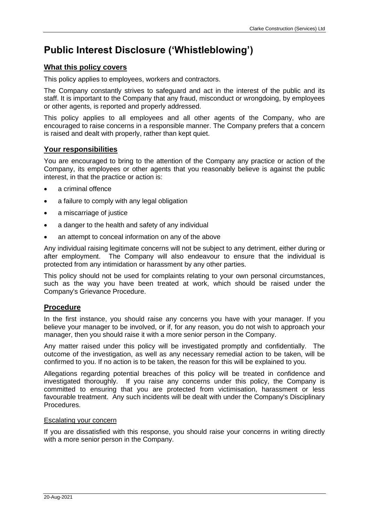# **Public Interest Disclosure ('Whistleblowing')**

# **What this policy covers**

This policy applies to employees, workers and contractors.

The Company constantly strives to safeguard and act in the interest of the public and its staff. It is important to the Company that any fraud, misconduct or wrongdoing, by employees or other agents, is reported and properly addressed.

This policy applies to all employees and all other agents of the Company, who are encouraged to raise concerns in a responsible manner. The Company prefers that a concern is raised and dealt with properly, rather than kept quiet.

# **Your responsibilities**

You are encouraged to bring to the attention of the Company any practice or action of the Company, its employees or other agents that you reasonably believe is against the public interest, in that the practice or action is:

- a criminal offence
- a failure to comply with any legal obligation
- a miscarriage of justice
- a danger to the health and safety of any individual
- an attempt to conceal information on any of the above

Any individual raising legitimate concerns will not be subject to any detriment, either during or after employment. The Company will also endeavour to ensure that the individual is protected from any intimidation or harassment by any other parties.

This policy should not be used for complaints relating to your own personal circumstances, such as the way you have been treated at work, which should be raised under the Company's Grievance Procedure.

# **Procedure**

In the first instance, you should raise any concerns you have with your manager. If you believe your manager to be involved, or if, for any reason, you do not wish to approach your manager, then you should raise it with a more senior person in the Company.

Any matter raised under this policy will be investigated promptly and confidentially. The outcome of the investigation, as well as any necessary remedial action to be taken, will be confirmed to you. If no action is to be taken, the reason for this will be explained to you.

Allegations regarding potential breaches of this policy will be treated in confidence and investigated thoroughly. If you raise any concerns under this policy, the Company is committed to ensuring that you are protected from victimisation, harassment or less favourable treatment. Any such incidents will be dealt with under the Company's Disciplinary Procedures.

# Escalating your concern

If you are dissatisfied with this response, you should raise your concerns in writing directly with a more senior person in the Company.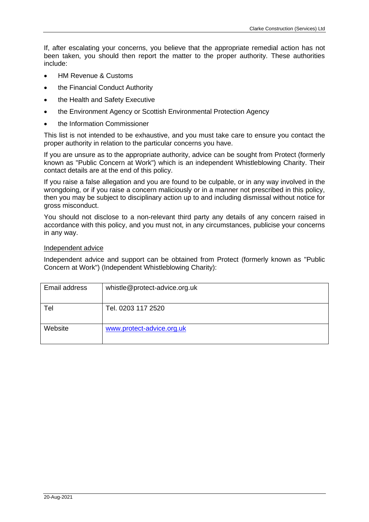If, after escalating your concerns, you believe that the appropriate remedial action has not been taken, you should then report the matter to the proper authority. These authorities include:

- HM Revenue & Customs
- the Financial Conduct Authority
- the Health and Safety Executive
- the Environment Agency or Scottish Environmental Protection Agency
- the Information Commissioner

This list is not intended to be exhaustive, and you must take care to ensure you contact the proper authority in relation to the particular concerns you have.

If you are unsure as to the appropriate authority, advice can be sought from Protect (formerly known as "Public Concern at Work") which is an independent Whistleblowing Charity. Their contact details are at the end of this policy.

If you raise a false allegation and you are found to be culpable, or in any way involved in the wrongdoing, or if you raise a concern maliciously or in a manner not prescribed in this policy, then you may be subject to disciplinary action up to and including dismissal without notice for gross misconduct.

You should not disclose to a non-relevant third party any details of any concern raised in accordance with this policy, and you must not, in any circumstances, publicise your concerns in any way.

## Independent advice

Independent advice and support can be obtained from Protect (formerly known as "Public Concern at Work") (Independent Whistleblowing Charity):

| Email address | whistle@protect-advice.org.uk |
|---------------|-------------------------------|
| Tel           | Tel. 0203 117 2520            |
| Website       | www.protect-advice.org.uk     |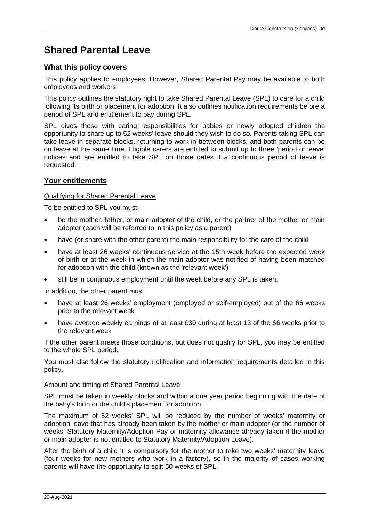# **Shared Parental Leave**

# **What this policy covers**

This policy applies to employees. However, Shared Parental Pay may be available to both employees and workers.

This policy outlines the statutory right to take Shared Parental Leave (SPL) to care for a child following its birth or placement for adoption. It also outlines notification requirements before a period of SPL and entitlement to pay during SPL.

SPL gives those with caring responsibilities for babies or newly adopted children the opportunity to share up to 52 weeks' leave should they wish to do so. Parents taking SPL can take leave in separate blocks, returning to work in between blocks, and both parents can be on leave at the same time. Eligible carers are entitled to submit up to three 'period of leave' notices and are entitled to take SPL on those dates if a continuous period of leave is requested.

# **Your entitlements**

# Qualifying for Shared Parental Leave

To be entitled to SPL you must:

- be the mother, father, or main adopter of the child, or the partner of the mother or main adopter (each will be referred to in this policy as a parent)
- have (or share with the other parent) the main responsibility for the care of the child
- have at least 26 weeks' continuous service at the 15th week before the expected week of birth or at the week in which the main adopter was notified of having been matched for adoption with the child (known as the 'relevant week')
- still be in continuous employment until the week before any SPL is taken.

In addition, the other parent must:

- have at least 26 weeks' employment (employed or self-employed) out of the 66 weeks prior to the relevant week
- have average weekly earnings of at least £30 during at least 13 of the 66 weeks prior to the relevant week

If the other parent meets those conditions, but does not qualify for SPL, you may be entitled to the whole SPL period.

You must also follow the statutory notification and information requirements detailed in this policy.

# Amount and timing of Shared Parental Leave

SPL must be taken in weekly blocks and within a one year period beginning with the date of the baby's birth or the child's placement for adoption.

The maximum of 52 weeks' SPL will be reduced by the number of weeks' maternity or adoption leave that has already been taken by the mother or main adopter (or the number of weeks' Statutory Maternity/Adoption Pay or maternity allowance already taken if the mother or main adopter is not entitled to Statutory Maternity/Adoption Leave).

After the birth of a child it is compulsory for the mother to take two weeks' maternity leave (four weeks for new mothers who work in a factory), so in the majority of cases working parents will have the opportunity to split 50 weeks of SPL.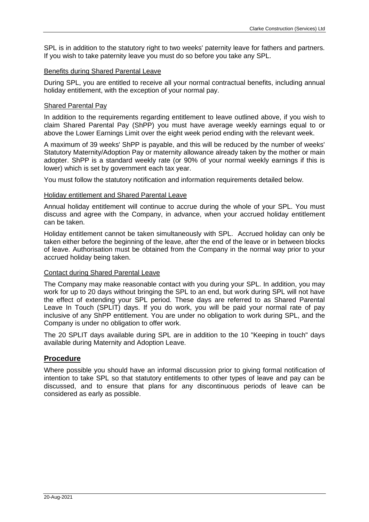SPL is in addition to the statutory right to two weeks' paternity leave for fathers and partners. If you wish to take paternity leave you must do so before you take any SPL.

## Benefits during Shared Parental Leave

During SPL, you are entitled to receive all your normal contractual benefits, including annual holiday entitlement, with the exception of your normal pay.

## Shared Parental Pay

In addition to the requirements regarding entitlement to leave outlined above, if you wish to claim Shared Parental Pay (ShPP) you must have average weekly earnings equal to or above the Lower Earnings Limit over the eight week period ending with the relevant week.

A maximum of 39 weeks' ShPP is payable, and this will be reduced by the number of weeks' Statutory Maternity/Adoption Pay or maternity allowance already taken by the mother or main adopter. ShPP is a standard weekly rate (or 90% of your normal weekly earnings if this is lower) which is set by government each tax year.

You must follow the statutory notification and information requirements detailed below.

## Holiday entitlement and Shared Parental Leave

Annual holiday entitlement will continue to accrue during the whole of your SPL. You must discuss and agree with the Company, in advance, when your accrued holiday entitlement can be taken.

Holiday entitlement cannot be taken simultaneously with SPL. Accrued holiday can only be taken either before the beginning of the leave, after the end of the leave or in between blocks of leave. Authorisation must be obtained from the Company in the normal way prior to your accrued holiday being taken.

# Contact during Shared Parental Leave

The Company may make reasonable contact with you during your SPL. In addition, you may work for up to 20 days without bringing the SPL to an end, but work during SPL will not have the effect of extending your SPL period. These days are referred to as Shared Parental Leave In Touch (SPLIT) days. If you do work, you will be paid your normal rate of pay inclusive of any ShPP entitlement. You are under no obligation to work during SPL, and the Company is under no obligation to offer work.

The 20 SPLIT days available during SPL are in addition to the 10 "Keeping in touch" days available during Maternity and Adoption Leave.

# **Procedure**

Where possible you should have an informal discussion prior to giving formal notification of intention to take SPL so that statutory entitlements to other types of leave and pay can be discussed, and to ensure that plans for any discontinuous periods of leave can be considered as early as possible.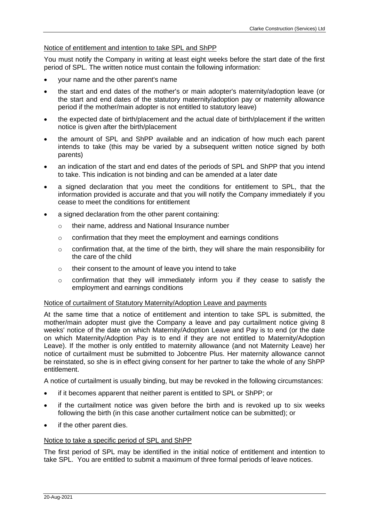# Notice of entitlement and intention to take SPL and ShPP

You must notify the Company in writing at least eight weeks before the start date of the first period of SPL. The written notice must contain the following information:

- your name and the other parent's name
- the start and end dates of the mother's or main adopter's maternity/adoption leave (or the start and end dates of the statutory maternity/adoption pay or maternity allowance period if the mother/main adopter is not entitled to statutory leave)
- the expected date of birth/placement and the actual date of birth/placement if the written notice is given after the birth/placement
- the amount of SPL and ShPP available and an indication of how much each parent intends to take (this may be varied by a subsequent written notice signed by both parents)
- an indication of the start and end dates of the periods of SPL and ShPP that you intend to take. This indication is not binding and can be amended at a later date
- a signed declaration that you meet the conditions for entitlement to SPL, that the information provided is accurate and that you will notify the Company immediately if you cease to meet the conditions for entitlement
- a signed declaration from the other parent containing:
	- o their name, address and National Insurance number
	- o confirmation that they meet the employment and earnings conditions
	- $\circ$  confirmation that, at the time of the birth, they will share the main responsibility for the care of the child
	- o their consent to the amount of leave you intend to take
	- $\circ$  confirmation that they will immediately inform you if they cease to satisfy the employment and earnings conditions

#### Notice of curtailment of Statutory Maternity/Adoption Leave and payments

At the same time that a notice of entitlement and intention to take SPL is submitted, the mother/main adopter must give the Company a leave and pay curtailment notice giving 8 weeks' notice of the date on which Maternity/Adoption Leave and Pay is to end (or the date on which Maternity/Adoption Pay is to end if they are not entitled to Maternity/Adoption Leave). If the mother is only entitled to maternity allowance (and not Maternity Leave) her notice of curtailment must be submitted to Jobcentre Plus. Her maternity allowance cannot be reinstated, so she is in effect giving consent for her partner to take the whole of any ShPP entitlement.

A notice of curtailment is usually binding, but may be revoked in the following circumstances:

- if it becomes apparent that neither parent is entitled to SPL or ShPP; or
- if the curtailment notice was given before the birth and is revoked up to six weeks following the birth (in this case another curtailment notice can be submitted); or
- if the other parent dies.

#### Notice to take a specific period of SPL and ShPP

The first period of SPL may be identified in the initial notice of entitlement and intention to take SPL. You are entitled to submit a maximum of three formal periods of leave notices.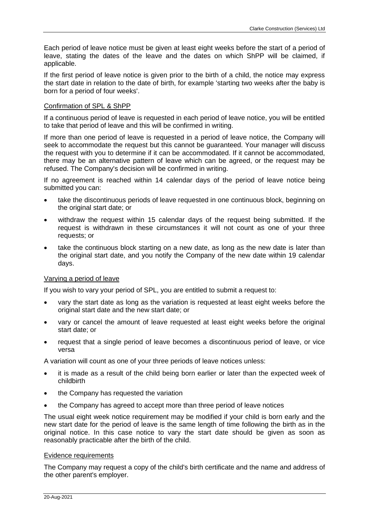Each period of leave notice must be given at least eight weeks before the start of a period of leave, stating the dates of the leave and the dates on which ShPP will be claimed, if applicable.

If the first period of leave notice is given prior to the birth of a child, the notice may express the start date in relation to the date of birth, for example 'starting two weeks after the baby is born for a period of four weeks'.

# Confirmation of SPL & ShPP

If a continuous period of leave is requested in each period of leave notice, you will be entitled to take that period of leave and this will be confirmed in writing.

If more than one period of leave is requested in a period of leave notice, the Company will seek to accommodate the request but this cannot be guaranteed. Your manager will discuss the request with you to determine if it can be accommodated. If it cannot be accommodated, there may be an alternative pattern of leave which can be agreed, or the request may be refused. The Company's decision will be confirmed in writing.

If no agreement is reached within 14 calendar days of the period of leave notice being submitted you can:

- take the discontinuous periods of leave requested in one continuous block, beginning on the original start date; or
- withdraw the request within 15 calendar days of the request being submitted. If the request is withdrawn in these circumstances it will not count as one of your three requests; or
- take the continuous block starting on a new date, as long as the new date is later than the original start date, and you notify the Company of the new date within 19 calendar days.

# Varying a period of leave

If you wish to vary your period of SPL, you are entitled to submit a request to:

- vary the start date as long as the variation is requested at least eight weeks before the original start date and the new start date; or
- vary or cancel the amount of leave requested at least eight weeks before the original start date; or
- request that a single period of leave becomes a discontinuous period of leave, or vice versa

A variation will count as one of your three periods of leave notices unless:

- it is made as a result of the child being born earlier or later than the expected week of childbirth
- the Company has requested the variation
- the Company has agreed to accept more than three period of leave notices

The usual eight week notice requirement may be modified if your child is born early and the new start date for the period of leave is the same length of time following the birth as in the original notice. In this case notice to vary the start date should be given as soon as reasonably practicable after the birth of the child.

#### Evidence requirements

The Company may request a copy of the child's birth certificate and the name and address of the other parent's employer.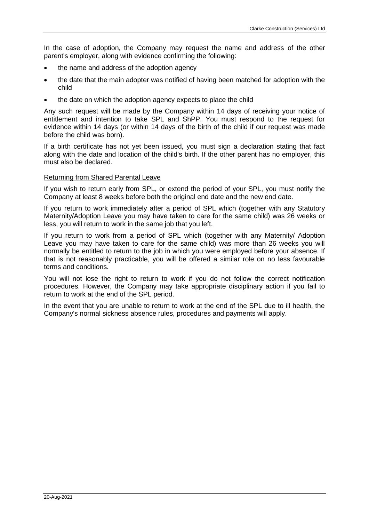In the case of adoption, the Company may request the name and address of the other parent's employer, along with evidence confirming the following:

- the name and address of the adoption agency
- the date that the main adopter was notified of having been matched for adoption with the child
- the date on which the adoption agency expects to place the child

Any such request will be made by the Company within 14 days of receiving your notice of entitlement and intention to take SPL and ShPP. You must respond to the request for evidence within 14 days (or within 14 days of the birth of the child if our request was made before the child was born).

If a birth certificate has not yet been issued, you must sign a declaration stating that fact along with the date and location of the child's birth. If the other parent has no employer, this must also be declared.

## Returning from Shared Parental Leave

If you wish to return early from SPL, or extend the period of your SPL, you must notify the Company at least 8 weeks before both the original end date and the new end date.

If you return to work immediately after a period of SPL which (together with any Statutory Maternity/Adoption Leave you may have taken to care for the same child) was 26 weeks or less, you will return to work in the same job that you left.

If you return to work from a period of SPL which (together with any Maternity/ Adoption Leave you may have taken to care for the same child) was more than 26 weeks you will normally be entitled to return to the job in which you were employed before your absence. If that is not reasonably practicable, you will be offered a similar role on no less favourable terms and conditions.

You will not lose the right to return to work if you do not follow the correct notification procedures. However, the Company may take appropriate disciplinary action if you fail to return to work at the end of the SPL period.

In the event that you are unable to return to work at the end of the SPL due to ill health, the Company's normal sickness absence rules, procedures and payments will apply.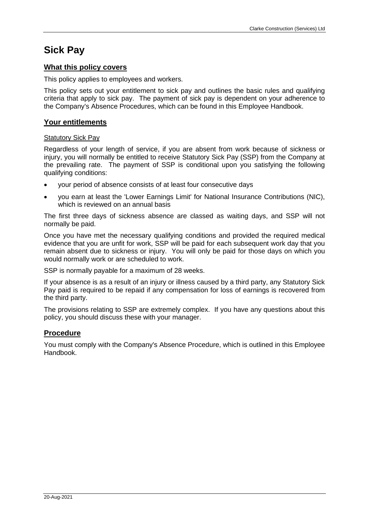# **Sick Pay**

# **What this policy covers**

This policy applies to employees and workers.

This policy sets out your entitlement to sick pay and outlines the basic rules and qualifying criteria that apply to sick pay. The payment of sick pay is dependent on your adherence to the Company's Absence Procedures, which can be found in this Employee Handbook.

# **Your entitlements**

## Statutory Sick Pay

Regardless of your length of service, if you are absent from work because of sickness or injury, you will normally be entitled to receive Statutory Sick Pay (SSP) from the Company at the prevailing rate. The payment of SSP is conditional upon you satisfying the following qualifying conditions:

- your period of absence consists of at least four consecutive days
- you earn at least the 'Lower Earnings Limit' for National Insurance Contributions (NIC), which is reviewed on an annual basis

The first three days of sickness absence are classed as waiting days, and SSP will not normally be paid.

Once you have met the necessary qualifying conditions and provided the required medical evidence that you are unfit for work, SSP will be paid for each subsequent work day that you remain absent due to sickness or injury. You will only be paid for those days on which you would normally work or are scheduled to work.

SSP is normally payable for a maximum of 28 weeks.

If your absence is as a result of an injury or illness caused by a third party, any Statutory Sick Pay paid is required to be repaid if any compensation for loss of earnings is recovered from the third party.

The provisions relating to SSP are extremely complex. If you have any questions about this policy, you should discuss these with your manager.

## **Procedure**

You must comply with the Company's Absence Procedure, which is outlined in this Employee Handbook.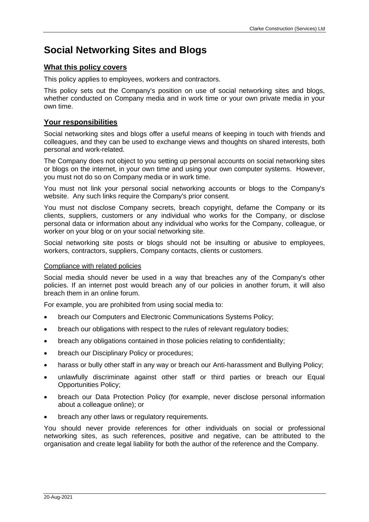# **Social Networking Sites and Blogs**

## **What this policy covers**

This policy applies to employees, workers and contractors.

This policy sets out the Company's position on use of social networking sites and blogs, whether conducted on Company media and in work time or your own private media in your own time.

# **Your responsibilities**

Social networking sites and blogs offer a useful means of keeping in touch with friends and colleagues, and they can be used to exchange views and thoughts on shared interests, both personal and work-related.

The Company does not object to you setting up personal accounts on social networking sites or blogs on the internet, in your own time and using your own computer systems. However, you must not do so on Company media or in work time.

You must not link your personal social networking accounts or blogs to the Company's website. Any such links require the Company's prior consent.

You must not disclose Company secrets, breach copyright, defame the Company or its clients, suppliers, customers or any individual who works for the Company, or disclose personal data or information about any individual who works for the Company, colleague, or worker on your blog or on your social networking site.

Social networking site posts or blogs should not be insulting or abusive to employees, workers, contractors, suppliers, Company contacts, clients or customers.

## Compliance with related policies

Social media should never be used in a way that breaches any of the Company's other policies. If an internet post would breach any of our policies in another forum, it will also breach them in an online forum.

For example, you are prohibited from using social media to:

- breach our Computers and Electronic Communications Systems Policy;
- breach our obligations with respect to the rules of relevant regulatory bodies;
- breach any obligations contained in those policies relating to confidentiality;
- breach our Disciplinary Policy or procedures;
- harass or bully other staff in any way or breach our Anti-harassment and Bullying Policy;
- unlawfully discriminate against other staff or third parties or breach our Equal Opportunities Policy;
- breach our Data Protection Policy (for example, never disclose personal information about a colleague online); or
- breach any other laws or regulatory requirements.

You should never provide references for other individuals on social or professional networking sites, as such references, positive and negative, can be attributed to the organisation and create legal liability for both the author of the reference and the Company.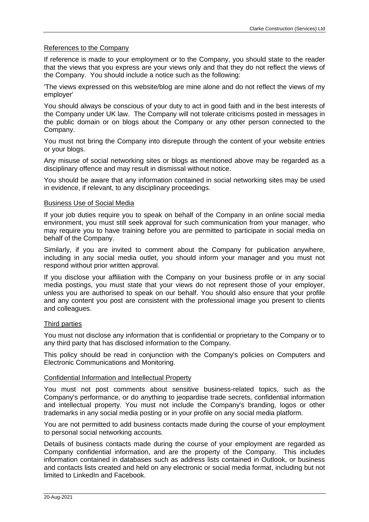#### References to the Company

If reference is made to your employment or to the Company, you should state to the reader that the views that you express are your views only and that they do not reflect the views of the Company. You should include a notice such as the following:

'The views expressed on this website/blog are mine alone and do not reflect the views of my employer'

You should always be conscious of your duty to act in good faith and in the best interests of the Company under UK law. The Company will not tolerate criticisms posted in messages in the public domain or on blogs about the Company or any other person connected to the Company.

You must not bring the Company into disrepute through the content of your website entries or your blogs.

Any misuse of social networking sites or blogs as mentioned above may be regarded as a disciplinary offence and may result in dismissal without notice.

You should be aware that any information contained in social networking sites may be used in evidence, if relevant, to any disciplinary proceedings.

#### Business Use of Social Media

If your job duties require you to speak on behalf of the Company in an online social media environment, you must still seek approval for such communication from your manager, who may require you to have training before you are permitted to participate in social media on behalf of the Company.

Similarly, if you are invited to comment about the Company for publication anywhere, including in any social media outlet, you should inform your manager and you must not respond without prior written approval.

If you disclose your affiliation with the Company on your business profile or in any social media postings, you must state that your views do not represent those of your employer, unless you are authorised to speak on our behalf. You should also ensure that your profile and any content you post are consistent with the professional image you present to clients and colleagues.

#### Third parties

You must not disclose any information that is confidential or proprietary to the Company or to any third party that has disclosed information to the Company.

This policy should be read in conjunction with the Company's policies on Computers and Electronic Communications and Monitoring.

#### Confidential Information and Intellectual Property

You must not post comments about sensitive business-related topics, such as the Company's performance, or do anything to jeopardise trade secrets, confidential information and intellectual property. You must not include the Company's branding, logos or other trademarks in any social media posting or in your profile on any social media platform.

You are not permitted to add business contacts made during the course of your employment to personal social networking accounts.

Details of business contacts made during the course of your employment are regarded as Company confidential information, and are the property of the Company. This includes information contained in databases such as address lists contained in Outlook, or business and contacts lists created and held on any electronic or social media format, including but not limited to LinkedIn and Facebook.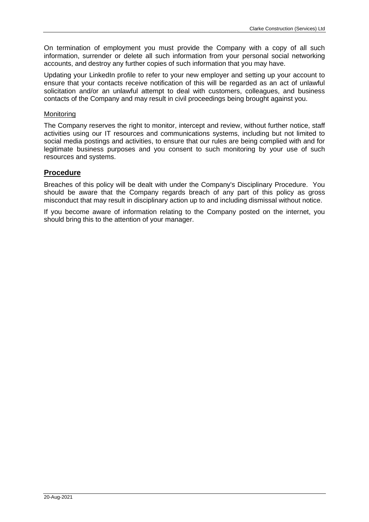On termination of employment you must provide the Company with a copy of all such information, surrender or delete all such information from your personal social networking accounts, and destroy any further copies of such information that you may have.

Updating your LinkedIn profile to refer to your new employer and setting up your account to ensure that your contacts receive notification of this will be regarded as an act of unlawful solicitation and/or an unlawful attempt to deal with customers, colleagues, and business contacts of the Company and may result in civil proceedings being brought against you.

### Monitoring

The Company reserves the right to monitor, intercept and review, without further notice, staff activities using our IT resources and communications systems, including but not limited to social media postings and activities, to ensure that our rules are being complied with and for legitimate business purposes and you consent to such monitoring by your use of such resources and systems.

## **Procedure**

Breaches of this policy will be dealt with under the Company's Disciplinary Procedure. You should be aware that the Company regards breach of any part of this policy as gross misconduct that may result in disciplinary action up to and including dismissal without notice.

If you become aware of information relating to the Company posted on the internet, you should bring this to the attention of your manager.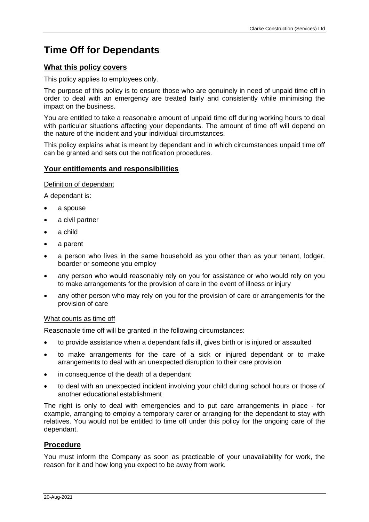# **Time Off for Dependants**

## **What this policy covers**

This policy applies to employees only.

The purpose of this policy is to ensure those who are genuinely in need of unpaid time off in order to deal with an emergency are treated fairly and consistently while minimising the impact on the business.

You are entitled to take a reasonable amount of unpaid time off during working hours to deal with particular situations affecting your dependants. The amount of time off will depend on the nature of the incident and your individual circumstances.

This policy explains what is meant by dependant and in which circumstances unpaid time off can be granted and sets out the notification procedures.

## **Your entitlements and responsibilities**

#### Definition of dependant

A dependant is:

- a spouse
- a civil partner
- a child
- a parent
- a person who lives in the same household as you other than as your tenant, lodger, boarder or someone you employ
- any person who would reasonably rely on you for assistance or who would rely on you to make arrangements for the provision of care in the event of illness or injury
- any other person who may rely on you for the provision of care or arrangements for the provision of care

#### What counts as time off

Reasonable time off will be granted in the following circumstances:

- to provide assistance when a dependant falls ill, gives birth or is injured or assaulted
- to make arrangements for the care of a sick or injured dependant or to make arrangements to deal with an unexpected disruption to their care provision
- in consequence of the death of a dependant
- to deal with an unexpected incident involving your child during school hours or those of another educational establishment

The right is only to deal with emergencies and to put care arrangements in place - for example, arranging to employ a temporary carer or arranging for the dependant to stay with relatives. You would not be entitled to time off under this policy for the ongoing care of the dependant.

## **Procedure**

You must inform the Company as soon as practicable of your unavailability for work, the reason for it and how long you expect to be away from work.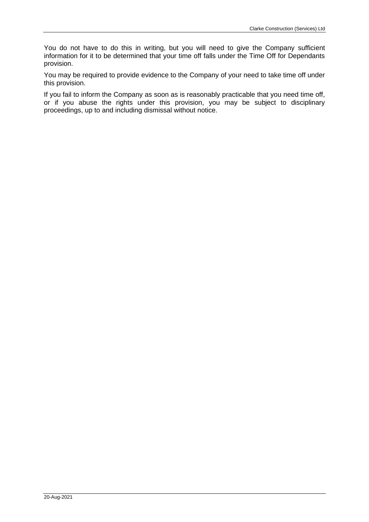You do not have to do this in writing, but you will need to give the Company sufficient information for it to be determined that your time off falls under the Time Off for Dependants provision.

You may be required to provide evidence to the Company of your need to take time off under this provision.

If you fail to inform the Company as soon as is reasonably practicable that you need time off, or if you abuse the rights under this provision, you may be subject to disciplinary proceedings, up to and including dismissal without notice.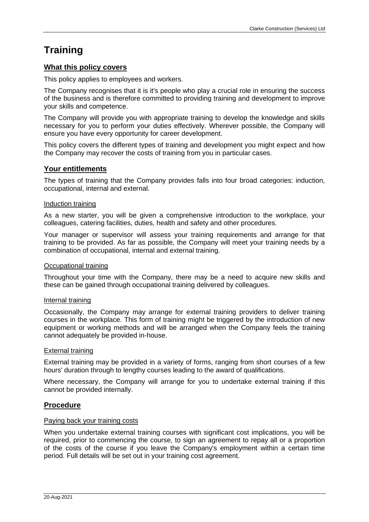# **Training**

## **What this policy covers**

This policy applies to employees and workers.

The Company recognises that it is it's people who play a crucial role in ensuring the success of the business and is therefore committed to providing training and development to improve your skills and competence.

The Company will provide you with appropriate training to develop the knowledge and skills necessary for you to perform your duties effectively. Wherever possible, the Company will ensure you have every opportunity for career development.

This policy covers the different types of training and development you might expect and how the Company may recover the costs of training from you in particular cases.

## **Your entitlements**

The types of training that the Company provides falls into four broad categories: induction, occupational, internal and external.

## Induction training

As a new starter, you will be given a comprehensive introduction to the workplace, your colleagues, catering facilities, duties, health and safety and other procedures.

Your manager or supervisor will assess your training requirements and arrange for that training to be provided. As far as possible, the Company will meet your training needs by a combination of occupational, internal and external training.

#### Occupational training

Throughout your time with the Company, there may be a need to acquire new skills and these can be gained through occupational training delivered by colleagues.

#### Internal training

Occasionally, the Company may arrange for external training providers to deliver training courses in the workplace. This form of training might be triggered by the introduction of new equipment or working methods and will be arranged when the Company feels the training cannot adequately be provided in-house.

#### External training

External training may be provided in a variety of forms, ranging from short courses of a few hours' duration through to lengthy courses leading to the award of qualifications.

Where necessary, the Company will arrange for you to undertake external training if this cannot be provided internally.

## **Procedure**

#### Paying back your training costs

When you undertake external training courses with significant cost implications, you will be required, prior to commencing the course, to sign an agreement to repay all or a proportion of the costs of the course if you leave the Company's employment within a certain time period. Full details will be set out in your training cost agreement.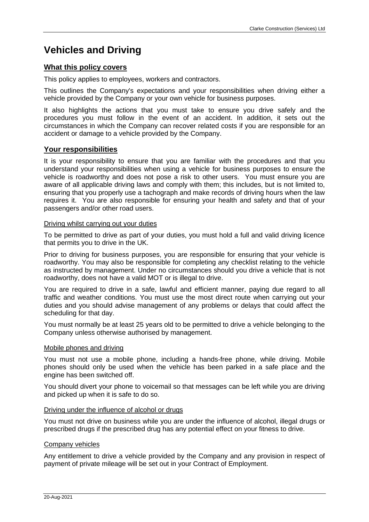# **Vehicles and Driving**

# **What this policy covers**

This policy applies to employees, workers and contractors.

This outlines the Company's expectations and your responsibilities when driving either a vehicle provided by the Company or your own vehicle for business purposes.

It also highlights the actions that you must take to ensure you drive safely and the procedures you must follow in the event of an accident. In addition, it sets out the circumstances in which the Company can recover related costs if you are responsible for an accident or damage to a vehicle provided by the Company.

# **Your responsibilities**

It is your responsibility to ensure that you are familiar with the procedures and that you understand your responsibilities when using a vehicle for business purposes to ensure the vehicle is roadworthy and does not pose a risk to other users. You must ensure you are aware of all applicable driving laws and comply with them; this includes, but is not limited to, ensuring that you properly use a tachograph and make records of driving hours when the law requires it. You are also responsible for ensuring your health and safety and that of your passengers and/or other road users.

## Driving whilst carrying out your duties

To be permitted to drive as part of your duties, you must hold a full and valid driving licence that permits you to drive in the UK.

Prior to driving for business purposes, you are responsible for ensuring that your vehicle is roadworthy. You may also be responsible for completing any checklist relating to the vehicle as instructed by management. Under no circumstances should you drive a vehicle that is not roadworthy, does not have a valid MOT or is illegal to drive.

You are required to drive in a safe, lawful and efficient manner, paying due regard to all traffic and weather conditions. You must use the most direct route when carrying out your duties and you should advise management of any problems or delays that could affect the scheduling for that day.

You must normally be at least 25 years old to be permitted to drive a vehicle belonging to the Company unless otherwise authorised by management.

## Mobile phones and driving

You must not use a mobile phone, including a hands-free phone, while driving. Mobile phones should only be used when the vehicle has been parked in a safe place and the engine has been switched off.

You should divert your phone to voicemail so that messages can be left while you are driving and picked up when it is safe to do so.

## Driving under the influence of alcohol or drugs

You must not drive on business while you are under the influence of alcohol, illegal drugs or prescribed drugs if the prescribed drug has any potential effect on your fitness to drive.

## Company vehicles

Any entitlement to drive a vehicle provided by the Company and any provision in respect of payment of private mileage will be set out in your Contract of Employment.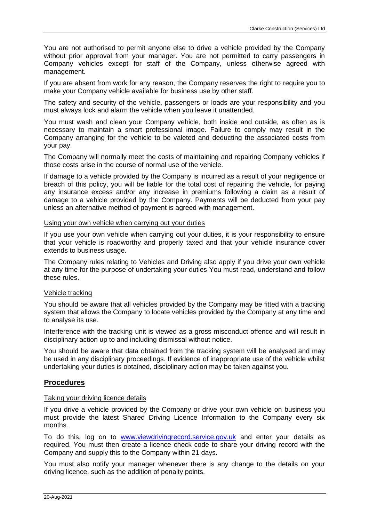You are not authorised to permit anyone else to drive a vehicle provided by the Company without prior approval from your manager. You are not permitted to carry passengers in Company vehicles except for staff of the Company, unless otherwise agreed with management.

If you are absent from work for any reason, the Company reserves the right to require you to make your Company vehicle available for business use by other staff.

The safety and security of the vehicle, passengers or loads are your responsibility and you must always lock and alarm the vehicle when you leave it unattended.

You must wash and clean your Company vehicle, both inside and outside, as often as is necessary to maintain a smart professional image. Failure to comply may result in the Company arranging for the vehicle to be valeted and deducting the associated costs from your pay.

The Company will normally meet the costs of maintaining and repairing Company vehicles if those costs arise in the course of normal use of the vehicle.

If damage to a vehicle provided by the Company is incurred as a result of your negligence or breach of this policy, you will be liable for the total cost of repairing the vehicle, for paying any insurance excess and/or any increase in premiums following a claim as a result of damage to a vehicle provided by the Company. Payments will be deducted from your pay unless an alternative method of payment is agreed with management.

#### Using your own vehicle when carrying out your duties

If you use your own vehicle when carrying out your duties, it is your responsibility to ensure that your vehicle is roadworthy and properly taxed and that your vehicle insurance cover extends to business usage.

The Company rules relating to Vehicles and Driving also apply if you drive your own vehicle at any time for the purpose of undertaking your duties You must read, understand and follow these rules.

#### Vehicle tracking

You should be aware that all vehicles provided by the Company may be fitted with a tracking system that allows the Company to locate vehicles provided by the Company at any time and to analyse its use.

Interference with the tracking unit is viewed as a gross misconduct offence and will result in disciplinary action up to and including dismissal without notice.

You should be aware that data obtained from the tracking system will be analysed and may be used in any disciplinary proceedings. If evidence of inappropriate use of the vehicle whilst undertaking your duties is obtained, disciplinary action may be taken against you.

## **Procedures**

#### Taking your driving licence details

If you drive a vehicle provided by the Company or drive your own vehicle on business you must provide the latest Shared Driving Licence Information to the Company every six months.

To do this, log on to [www.viewdrivingrecord.service.gov.uk](http://www.viewdrivingrecord.service.gov.uk/) and enter your details as required. You must then create a licence check code to share your driving record with the Company and supply this to the Company within 21 days.

You must also notify your manager whenever there is any change to the details on your driving licence, such as the addition of penalty points.